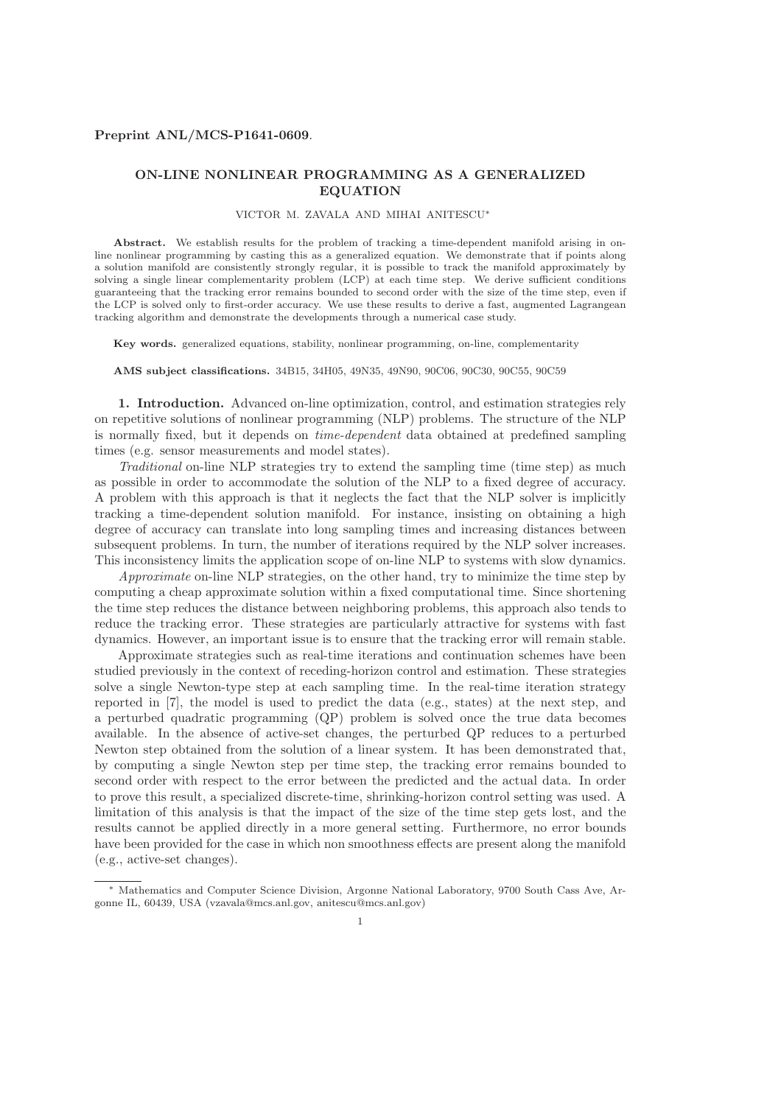### Preprint ANL/MCS-P1641-0609.

# ON-LINE NONLINEAR PROGRAMMING AS A GENERALIZED EQUATION

### VICTOR M. ZAVALA AND MIHAI ANITESCU<sup>∗</sup>

Abstract. We establish results for the problem of tracking a time-dependent manifold arising in online nonlinear programming by casting this as a generalized equation. We demonstrate that if points along a solution manifold are consistently strongly regular, it is possible to track the manifold approximately by solving a single linear complementarity problem (LCP) at each time step. We derive sufficient conditions guaranteeing that the tracking error remains bounded to second order with the size of the time step, even if the LCP is solved only to first-order accuracy. We use these results to derive a fast, augmented Lagrangean tracking algorithm and demonstrate the developments through a numerical case study.

Key words. generalized equations, stability, nonlinear programming, on-line, complementarity

AMS subject classifications. 34B15, 34H05, 49N35, 49N90, 90C06, 90C30, 90C55, 90C59

1. Introduction. Advanced on-line optimization, control, and estimation strategies rely on repetitive solutions of nonlinear programming (NLP) problems. The structure of the NLP is normally fixed, but it depends on *time-dependent* data obtained at predefined sampling times (e.g. sensor measurements and model states).

*Traditional* on-line NLP strategies try to extend the sampling time (time step) as much as possible in order to accommodate the solution of the NLP to a fixed degree of accuracy. A problem with this approach is that it neglects the fact that the NLP solver is implicitly tracking a time-dependent solution manifold. For instance, insisting on obtaining a high degree of accuracy can translate into long sampling times and increasing distances between subsequent problems. In turn, the number of iterations required by the NLP solver increases. This inconsistency limits the application scope of on-line NLP to systems with slow dynamics.

*Approximate* on-line NLP strategies, on the other hand, try to minimize the time step by computing a cheap approximate solution within a fixed computational time. Since shortening the time step reduces the distance between neighboring problems, this approach also tends to reduce the tracking error. These strategies are particularly attractive for systems with fast dynamics. However, an important issue is to ensure that the tracking error will remain stable.

Approximate strategies such as real-time iterations and continuation schemes have been studied previously in the context of receding-horizon control and estimation. These strategies solve a single Newton-type step at each sampling time. In the real-time iteration strategy reported in [7], the model is used to predict the data (e.g., states) at the next step, and a perturbed quadratic programming (QP) problem is solved once the true data becomes available. In the absence of active-set changes, the perturbed QP reduces to a perturbed Newton step obtained from the solution of a linear system. It has been demonstrated that, by computing a single Newton step per time step, the tracking error remains bounded to second order with respect to the error between the predicted and the actual data. In order to prove this result, a specialized discrete-time, shrinking-horizon control setting was used. A limitation of this analysis is that the impact of the size of the time step gets lost, and the results cannot be applied directly in a more general setting. Furthermore, no error bounds have been provided for the case in which non smoothness effects are present along the manifold (e.g., active-set changes).

Mathematics and Computer Science Division, Argonne National Laboratory, 9700 South Cass Ave, Argonne IL, 60439, USA (vzavala@mcs.anl.gov, anitescu@mcs.anl.gov)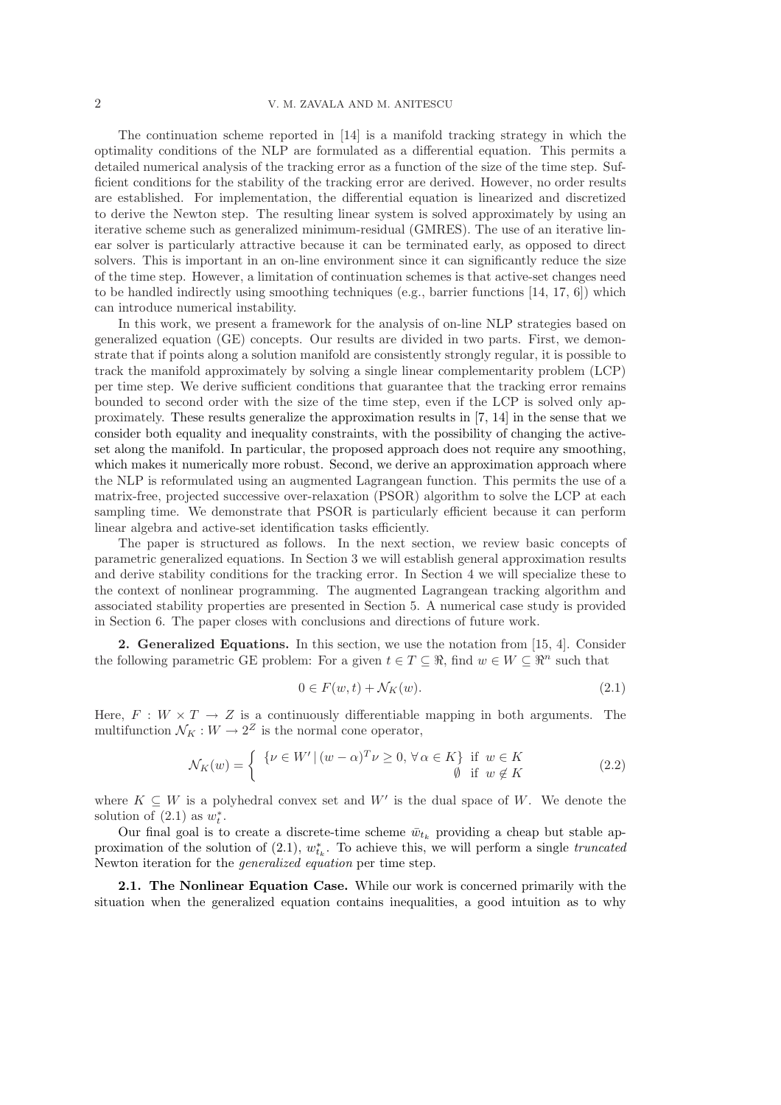The continuation scheme reported in [14] is a manifold tracking strategy in which the optimality conditions of the NLP are formulated as a differential equation. This permits a detailed numerical analysis of the tracking error as a function of the size of the time step. Sufficient conditions for the stability of the tracking error are derived. However, no order results are established. For implementation, the differential equation is linearized and discretized to derive the Newton step. The resulting linear system is solved approximately by using an iterative scheme such as generalized minimum-residual (GMRES). The use of an iterative linear solver is particularly attractive because it can be terminated early, as opposed to direct solvers. This is important in an on-line environment since it can significantly reduce the size of the time step. However, a limitation of continuation schemes is that active-set changes need to be handled indirectly using smoothing techniques (e.g., barrier functions [14, 17, 6]) which can introduce numerical instability.

In this work, we present a framework for the analysis of on-line NLP strategies based on generalized equation (GE) concepts. Our results are divided in two parts. First, we demonstrate that if points along a solution manifold are consistently strongly regular, it is possible to track the manifold approximately by solving a single linear complementarity problem (LCP) per time step. We derive sufficient conditions that guarantee that the tracking error remains bounded to second order with the size of the time step, even if the LCP is solved only approximately. These results generalize the approximation results in [7, 14] in the sense that we consider both equality and inequality constraints, with the possibility of changing the activeset along the manifold. In particular, the proposed approach does not require any smoothing, which makes it numerically more robust. Second, we derive an approximation approach where the NLP is reformulated using an augmented Lagrangean function. This permits the use of a matrix-free, projected successive over-relaxation (PSOR) algorithm to solve the LCP at each sampling time. We demonstrate that PSOR is particularly efficient because it can perform linear algebra and active-set identification tasks efficiently.

The paper is structured as follows. In the next section, we review basic concepts of parametric generalized equations. In Section 3 we will establish general approximation results and derive stability conditions for the tracking error. In Section 4 we will specialize these to the context of nonlinear programming. The augmented Lagrangean tracking algorithm and associated stability properties are presented in Section 5. A numerical case study is provided in Section 6. The paper closes with conclusions and directions of future work.

2. Generalized Equations. In this section, we use the notation from [15, 4]. Consider the following parametric GE problem: For a given  $t \in T \subset \mathbb{R}$ , find  $w \in W \subset \mathbb{R}^n$  such that

$$
0 \in F(w, t) + \mathcal{N}_K(w). \tag{2.1}
$$

Here,  $F : W \times T \to Z$  is a continuously differentiable mapping in both arguments. The multifunction  $\mathcal{N}_K : W \to 2^Z$  is the normal cone operator,

$$
\mathcal{N}_K(w) = \begin{cases} \{ \nu \in W' \mid (w - \alpha)^T \nu \ge 0, \forall \alpha \in K \} & \text{if } w \in K \\ \emptyset & \text{if } w \notin K \end{cases} \tag{2.2}
$$

where  $K \subseteq W$  is a polyhedral convex set and W' is the dual space of W. We denote the solution of  $(2.1)$  as  $w_t^*$ .

Our final goal is to create a discrete-time scheme  $\bar{w}_{t_k}$  providing a cheap but stable approximation of the solution of  $(2.1)$ ,  $w_{t_k}^*$ . To achieve this, we will perform a single *truncated* Newton iteration for the *generalized equation* per time step.

2.1. The Nonlinear Equation Case. While our work is concerned primarily with the situation when the generalized equation contains inequalities, a good intuition as to why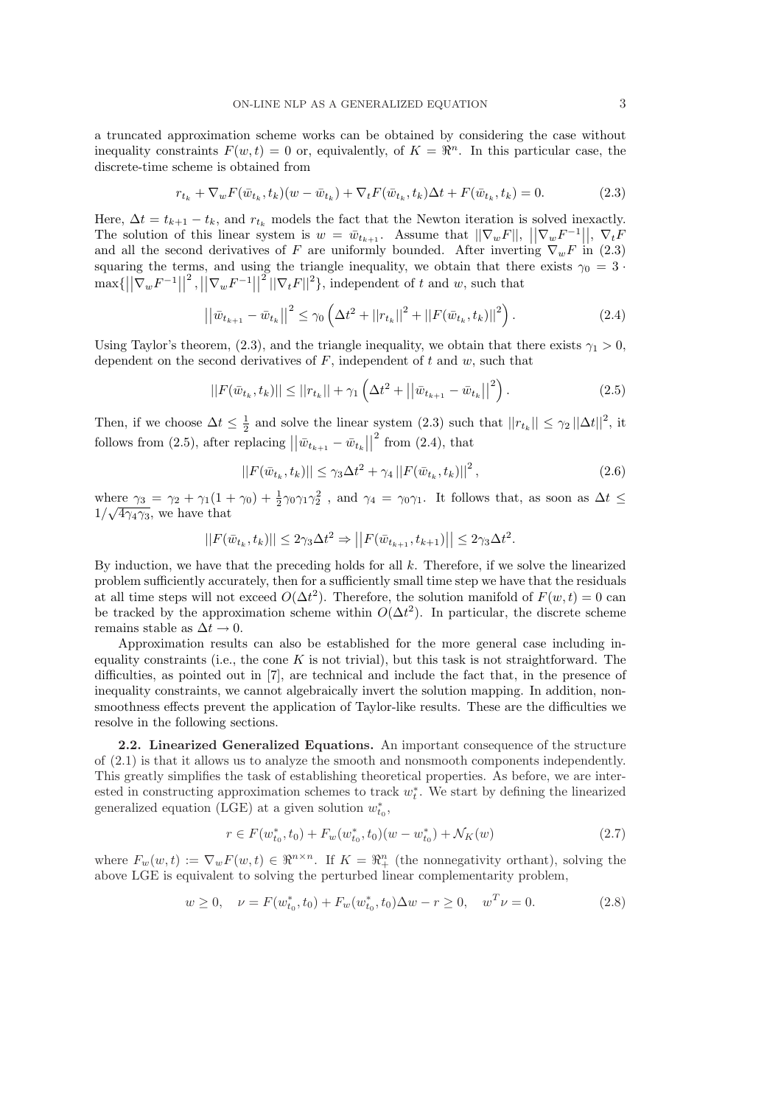a truncated approximation scheme works can be obtained by considering the case without inequality constraints  $F(w,t) = 0$  or, equivalently, of  $K = \mathbb{R}^n$ . In this particular case, the discrete-time scheme is obtained from

$$
r_{t_k} + \nabla_w F(\bar{w}_{t_k}, t_k)(w - \bar{w}_{t_k}) + \nabla_t F(\bar{w}_{t_k}, t_k)\Delta t + F(\bar{w}_{t_k}, t_k) = 0.
$$
 (2.3)

Here,  $\Delta t = t_{k+1} - t_k$ , and  $r_{t_k}$  models the fact that the Newton iteration is solved inexactly. The solution of this linear system is  $w = \bar{w}_{t_{k+1}}$ . Assume that  $||\nabla_w F||, ||\nabla_w F^{-1}||, \nabla_t F$ and all the second derivatives of F are uniformly bounded. After inverting  $\nabla_w F$  in (2.3) squaring the terms, and using the triangle inequality, we obtain that there exists  $\gamma_0 = 3$  $\max\{||\nabla_w F^{-1}||\}$  $^{2}$ ,  $||\nabla_{w}F^{-1}||$  $\left\vert \left\vert \nabla_{t}F\right\vert \right\vert ^{2}\},\$  independent of t and w, such that

$$
\left| \left| \bar{w}_{t_{k+1}} - \bar{w}_{t_k} \right| \right|^2 \le \gamma_0 \left( \Delta t^2 + ||r_{t_k}||^2 + ||F(\bar{w}_{t_k}, t_k)||^2 \right). \tag{2.4}
$$

Using Taylor's theorem, (2.3), and the triangle inequality, we obtain that there exists  $\gamma_1 > 0$ , dependent on the second derivatives of  $F$ , independent of  $t$  and  $w$ , such that

$$
||F(\bar{w}_{t_k}, t_k)|| \le ||r_{t_k}|| + \gamma_1 \left(\Delta t^2 + ||\bar{w}_{t_{k+1}} - \bar{w}_{t_k}||^2\right).
$$
 (2.5)

Then, if we choose  $\Delta t \leq \frac{1}{2}$  and solve the linear system (2.3) such that  $||r_{t_k}|| \leq \gamma_2 ||\Delta t||^2$ , it follows from (2.5), after replacing  $\left| \left| \bar{w}_{t_{k+1}} - \bar{w}_{t_k} \right| \right|$  $2^{2}$  from  $(2.4)$ , that

$$
||F(\bar{w}_{t_k}, t_k)|| \leq \gamma_3 \Delta t^2 + \gamma_4 ||F(\bar{w}_{t_k}, t_k)||^2, \qquad (2.6)
$$

where  $\gamma_3 = \gamma_2 + \gamma_1(1 + \gamma_0) + \frac{1}{2}\gamma_0\gamma_1\gamma_2^2$ , and  $\gamma_4 = \gamma_0\gamma_1$ . It follows that, as soon as  $\Delta t \leq$  $1/\sqrt{4\gamma_4\gamma_3}$ , we have that

$$
||F(\bar{w}_{t_k}, t_k)|| \leq 2\gamma_3 \Delta t^2 \Rightarrow ||F(\bar{w}_{t_{k+1}}, t_{k+1})|| \leq 2\gamma_3 \Delta t^2.
$$

By induction, we have that the preceding holds for all  $k$ . Therefore, if we solve the linearized problem sufficiently accurately, then for a sufficiently small time step we have that the residuals at all time steps will not exceed  $O(\Delta t^2)$ . Therefore, the solution manifold of  $F(w,t) = 0$  can be tracked by the approximation scheme within  $O(\Delta t^2)$ . In particular, the discrete scheme remains stable as  $\Delta t \rightarrow 0$ .

Approximation results can also be established for the more general case including inequality constraints (i.e., the cone  $K$  is not trivial), but this task is not straightforward. The difficulties, as pointed out in [7], are technical and include the fact that, in the presence of inequality constraints, we cannot algebraically invert the solution mapping. In addition, nonsmoothness effects prevent the application of Taylor-like results. These are the difficulties we resolve in the following sections.

2.2. Linearized Generalized Equations. An important consequence of the structure of (2.1) is that it allows us to analyze the smooth and nonsmooth components independently. This greatly simplifies the task of establishing theoretical properties. As before, we are interested in constructing approximation schemes to track  $w_t^*$ . We start by defining the linearized generalized equation (LGE) at a given solution  $w_{t_0}^*$ ,

$$
r \in F(w_{t_0}^*, t_0) + F_w(w_{t_0}^*, t_0)(w - w_{t_0}^*) + \mathcal{N}_K(w)
$$
\n
$$
(2.7)
$$

where  $F_w(w,t) := \nabla_w F(w,t) \in \Re^{n \times n}$ . If  $K = \Re^n_+$  (the nonnegativity orthant), solving the above LGE is equivalent to solving the perturbed linear complementarity problem,

$$
w \ge 0, \quad \nu = F(w_{t_0}^*, t_0) + F_w(w_{t_0}^*, t_0) \Delta w - r \ge 0, \quad w^T \nu = 0.
$$
 (2.8)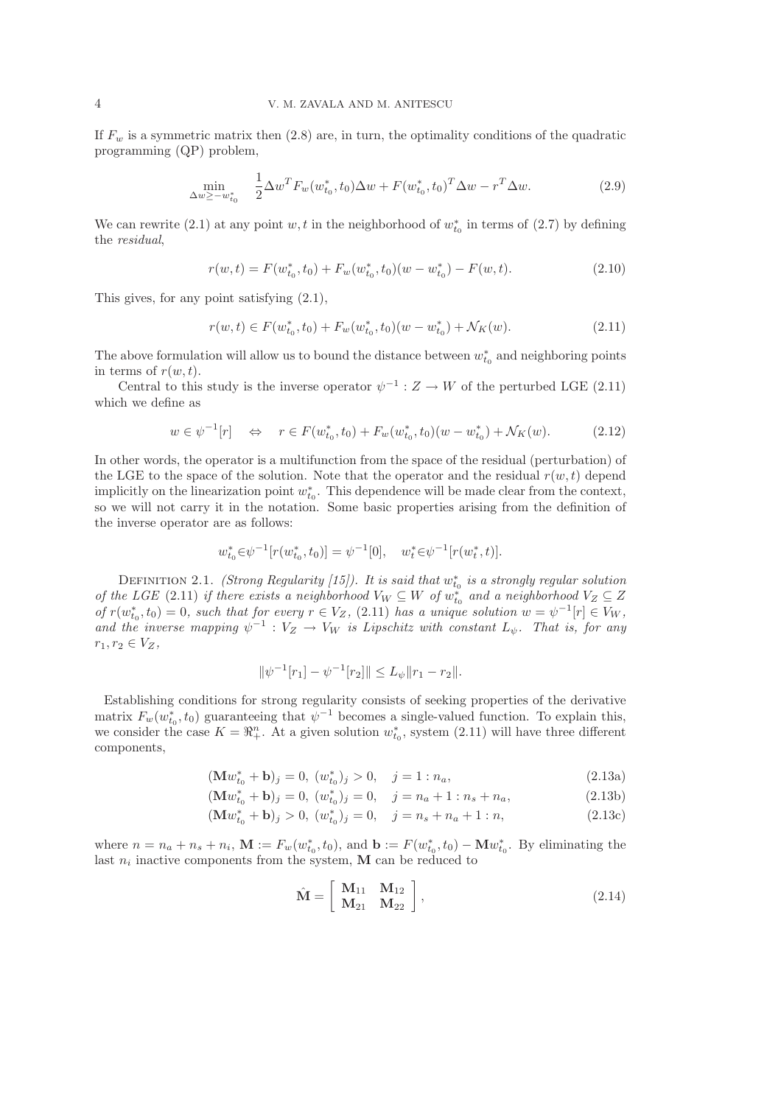If  $F_w$  is a symmetric matrix then  $(2.8)$  are, in turn, the optimality conditions of the quadratic programming (QP) problem,

$$
\min_{\Delta w \ge -w_{t_0}^*} \quad \frac{1}{2} \Delta w^T F_w(w_{t_0}^*, t_0) \Delta w + F(w_{t_0}^*, t_0)^T \Delta w - r^T \Delta w. \tag{2.9}
$$

We can rewrite (2.1) at any point w, t in the neighborhood of  $w_{t_0}^*$  in terms of (2.7) by defining the *residual*,

$$
r(w,t) = F(w_{t_0}^*, t_0) + F_w(w_{t_0}^*, t_0)(w - w_{t_0}^*) - F(w, t).
$$
\n(2.10)

This gives, for any point satisfying (2.1),

$$
r(w,t) \in F(w_{t_0}^*, t_0) + F_w(w_{t_0}^*, t_0)(w - w_{t_0}^*) + \mathcal{N}_K(w). \tag{2.11}
$$

The above formulation will allow us to bound the distance between  $w_{t_0}^*$  and neighboring points in terms of  $r(w,t)$ .

Central to this study is the inverse operator  $\psi^{-1}: Z \to W$  of the perturbed LGE (2.11) which we define as

$$
w \in \psi^{-1}[r] \quad \Leftrightarrow \quad r \in F(w_{t_0}^*, t_0) + F_w(w_{t_0}^*, t_0)(w - w_{t_0}^*) + \mathcal{N}_K(w). \tag{2.12}
$$

In other words, the operator is a multifunction from the space of the residual (perturbation) of the LGE to the space of the solution. Note that the operator and the residual  $r(w,t)$  depend implicitly on the linearization point  $w_{t_0}^*$ . This dependence will be made clear from the context, so we will not carry it in the notation. Some basic properties arising from the definition of the inverse operator are as follows:

$$
w_{t_0}^* \in \psi^{-1}[r(w_{t_0}^*, t_0)] = \psi^{-1}[0], \quad w_t^* \in \psi^{-1}[r(w_t^*, t)].
$$

DEFINITION 2.1. *(Strong Regularity [15]). It is said that*  $w_{t_0}^*$  *is a strongly regular solution of the LGE* (2.11) *if there exists a neighborhood*  $V_W \subseteq W$  *of*  $w_{t_0}^*$  *and a neighborhood*  $V_Z \subseteq Z$  $of$   $r(w_{t_0}^*, t_0) = 0$ *, such that for every*  $r \in V_Z$ *,* (2.11) *has a unique solution*  $w = \psi^{-1}[r] \in V_W$ *,* and the inverse mapping  $\psi^{-1}: V_Z \to V_W$  is Lipschitz with constant  $L_{\psi}$ . That is, for any  $r_1, r_2 \in V_Z$ ,

$$
\|\psi^{-1}[r_1] - \psi^{-1}[r_2]\| \le L_{\psi} \|r_1 - r_2\|.
$$

Establishing conditions for strong regularity consists of seeking properties of the derivative matrix  $F_w(w_{t_0}^*, t_0)$  guaranteeing that  $\psi^{-1}$  becomes a single-valued function. To explain this, we consider the case  $K = \mathbb{R}_{+}^{n}$ . At a given solution  $w_{t_0}^*$ , system (2.11) will have three different components,

$$
(\mathbf{M}w_{t_0}^* + \mathbf{b})_j = 0, \ (w_{t_0}^*)_j > 0, \quad j = 1 : n_a,
$$
\n
$$
(2.13a)
$$

$$
(\mathbf{M}w_{t_0}^* + \mathbf{b})_j = 0, (w_{t_0}^*)_j = 0, j = n_a + 1 : n_s + n_a,
$$
\n
$$
(\mathbf{M}w_{t_0}^* + \mathbf{b})_j > 0, (w_{t_0}^*)_j = 0, j = n_s + n_a + 1 : n,
$$
\n(2.13b)

$$
(\mathbf{M}w_{t_0}^* + \mathbf{b})_j > 0, \ (w_{t_0}^*)_j = 0, \quad j = n_s + n_a + 1 : n,
$$
\n(2.13c)

where  $n = n_a + n_s + n_i$ ,  $\mathbf{M} := F_w(w_{t_0}^*, t_0)$ , and  $\mathbf{b} := F(w_{t_0}^*, t_0) - \mathbf{M} w_{t_0}^*$ . By eliminating the last  $n_i$  inactive components from the system, M can be reduced to

$$
\hat{\mathbf{M}} = \left[ \begin{array}{cc} \mathbf{M}_{11} & \mathbf{M}_{12} \\ \mathbf{M}_{21} & \mathbf{M}_{22} \end{array} \right],
$$
\n(2.14)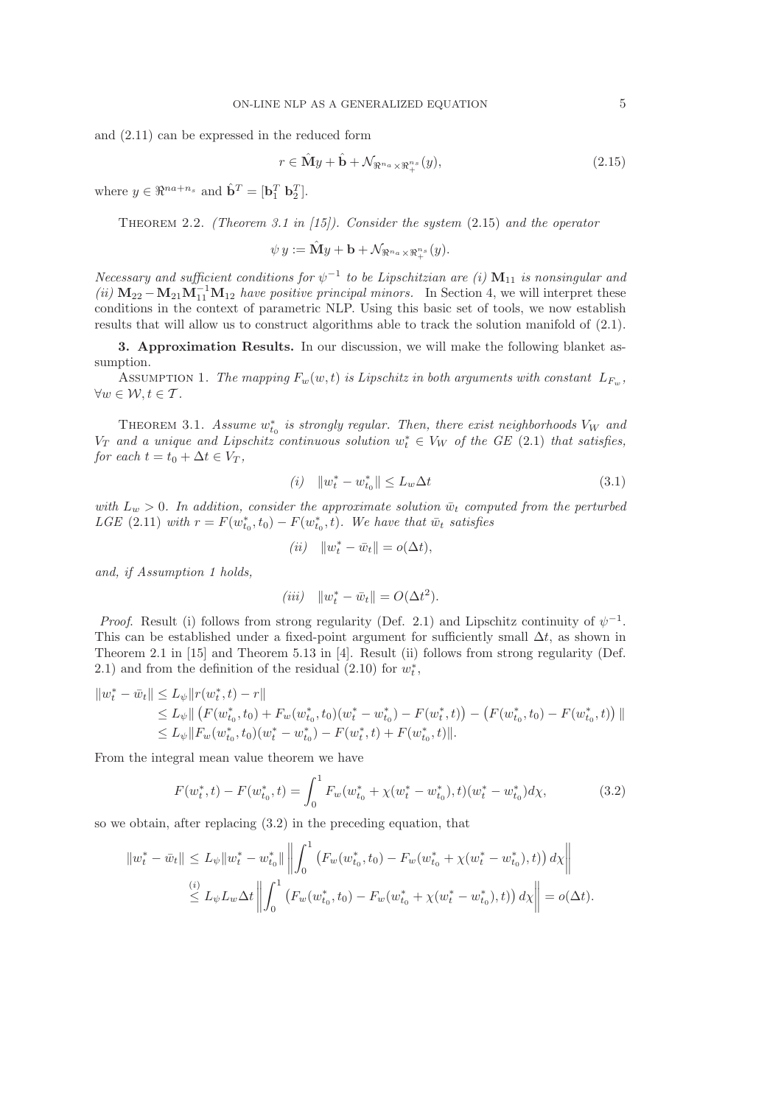and (2.11) can be expressed in the reduced form

$$
r \in \hat{\mathbf{M}}y + \hat{\mathbf{b}} + \mathcal{N}_{\Re^{n_a} \times \Re^{n_s}_+}(y),\tag{2.15}
$$

where  $y \in \Re^{na+n_s}$  and  $\hat{\mathbf{b}}^T = [\mathbf{b}_1^T \ \mathbf{b}_2^T]$ .

Theorem 2.2. *(Theorem 3.1 in [15]). Consider the system* (2.15) *and the operator*

$$
\psi\,y:=\hat{\mathbf{M}}y+\mathbf{b}+\mathcal{N}_{\Re^{n_a}\times\Re_{+}^{n_s}}(y).
$$

*Necessary and sufficient conditions for*  $\psi^{-1}$  to be Lipschitzian are (i)  $M_{11}$  is nonsingular and  $(iii)$   $M_{22} - M_{21}M_{11}^{-1}M_{12}$  *have positive principal minors.* In Section 4, we will interpret these conditions in the context of parametric NLP. Using this basic set of tools, we now establish results that will allow us to construct algorithms able to track the solution manifold of (2.1).

3. Approximation Results. In our discussion, we will make the following blanket assumption.

ASSUMPTION 1. *The mapping*  $F_w(w,t)$  *is Lipschitz in both arguments with constant*  $L_{F_w}$ ,  $\forall w \in \mathcal{W}, t \in \mathcal{T}$ .

THEOREM 3.1. *Assume*  $w_{t_0}^*$  is strongly regular. Then, there exist neighborhoods  $V_W$  and  $V_T$  and a unique and Lipschitz continuous solution  $w_t^* \in V_W$  of the GE (2.1) that satisfies, *for each*  $t = t_0 + \Delta t \in V_T$ ,

$$
(i) \t ||w_t^* - w_{t_0}^*|| \le L_w \Delta t \t\t(3.1)
$$

*with*  $L_w > 0$ . In addition, consider the approximate solution  $\bar{w}_t$  computed from the perturbed *LGE* (2.11) *with*  $r = F(w_{t_0}^*, t_0) - F(w_{t_0}^*, t)$ *. We have that*  $\bar{w}_t$  *satisfies* 

$$
(ii) \quad ||w_t^* - \bar{w}_t|| = o(\Delta t),
$$

*and, if Assumption 1 holds,*

$$
(iii) \quad ||w_t^* - \bar{w}_t|| = O(\Delta t^2).
$$

*Proof.* Result (i) follows from strong regularity (Def. 2.1) and Lipschitz continuity of  $\psi^{-1}$ . This can be established under a fixed-point argument for sufficiently small  $\Delta t$ , as shown in Theorem 2.1 in [15] and Theorem 5.13 in [4]. Result (ii) follows from strong regularity (Def. 2.1) and from the definition of the residual  $(2.10)$  for  $w_t^*$ ,

$$
||w_t^* - \bar{w}_t|| \le L_{\psi} ||r(w_t^*, t) - r||
$$
  
\n
$$
\le L_{\psi} || (F(w_{t_0}^*, t_0) + F_w(w_{t_0}^*, t_0)(w_t^* - w_{t_0}^*) - F(w_t^*, t)) - (F(w_{t_0}^*, t_0) - F(w_{t_0}^*, t)) ||
$$
  
\n
$$
\le L_{\psi} ||F_w(w_{t_0}^*, t_0)(w_t^* - w_{t_0}^*) - F(w_t^*, t) + F(w_{t_0}^*, t) ||.
$$

From the integral mean value theorem we have

$$
F(w_t^*, t) - F(w_{t_0}^*, t) = \int_0^1 F_w(w_{t_0}^* + \chi(w_t^* - w_{t_0}^*), t)(w_t^* - w_{t_0}^*)d\chi,
$$
\n(3.2)

so we obtain, after replacing (3.2) in the preceding equation, that

$$
||w_t^* - \bar{w}_t|| \le L_{\psi} ||w_t^* - w_{t_0}^*|| \left\| \int_0^1 (F_w(w_{t_0}^*, t_0) - F_w(w_{t_0}^* + \chi(w_t^* - w_{t_0}^*), t)) \, d\chi \right\|
$$
  

$$
\stackrel{(i)}{\le} L_{\psi} L_w \Delta t \left\| \int_0^1 (F_w(w_{t_0}^*, t_0) - F_w(w_{t_0}^* + \chi(w_t^* - w_{t_0}^*), t)) \, d\chi \right\| = o(\Delta t).
$$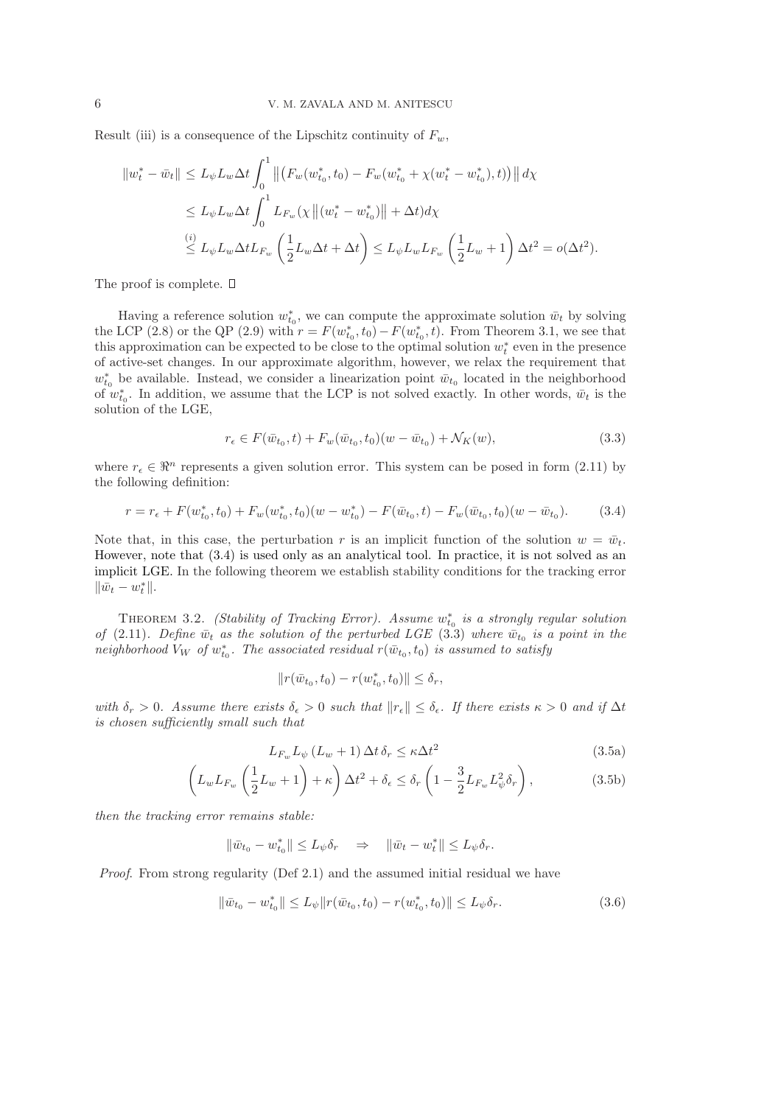Result (iii) is a consequence of the Lipschitz continuity of  $F_w$ ,

$$
\|w_t^* - \bar{w}_t\| \le L_{\psi} L_w \Delta t \int_0^1 \left\| \left( F_w(w_{t_0}^*, t_0) - F_w(w_{t_0}^* + \chi(w_t^* - w_{t_0}^*), t) \right) \right\| d\chi
$$
  
\n
$$
\le L_{\psi} L_w \Delta t \int_0^1 L_{F_w}(\chi \left\| (w_t^* - w_{t_0}^*) \right\| + \Delta t) d\chi
$$
  
\n
$$
\stackrel{(i)}{\le} L_{\psi} L_w \Delta t L_{F_w} \left( \frac{1}{2} L_w \Delta t + \Delta t \right) \le L_{\psi} L_w L_{F_w} \left( \frac{1}{2} L_w + 1 \right) \Delta t^2 = o(\Delta t^2).
$$

The proof is complete.  $\square$ 

Having a reference solution  $w_{t_0}^*$ , we can compute the approximate solution  $\bar{w}_t$  by solving the LCP (2.8) or the QP (2.9) with  $r = F(w_{t_0}^*, t_0) - F(w_{t_0}^*, t)$ . From Theorem 3.1, we see that this approximation can be expected to be close to the optimal solution  $w_t^*$  even in the presence of active-set changes. In our approximate algorithm, however, we relax the requirement that  $w_{t_0}^*$  be available. Instead, we consider a linearization point  $\bar{w}_{t_0}$  located in the neighborhood of  $w_{t_0}^*$ . In addition, we assume that the LCP is not solved exactly. In other words,  $\bar{w}_t$  is the solution of the LGE,

$$
r_{\epsilon} \in F(\bar{w}_{t_0}, t) + F_w(\bar{w}_{t_0}, t_0)(w - \bar{w}_{t_0}) + \mathcal{N}_K(w),
$$
\n(3.3)

where  $r_{\epsilon} \in \mathbb{R}^n$  represents a given solution error. This system can be posed in form (2.11) by the following definition:

$$
r = r_{\epsilon} + F(w_{t_0}^*, t_0) + F_w(w_{t_0}^*, t_0)(w - w_{t_0}^*) - F(\bar{w}_{t_0}, t) - F_w(\bar{w}_{t_0}, t_0)(w - \bar{w}_{t_0}).
$$
 (3.4)

Note that, in this case, the perturbation r is an implicit function of the solution  $w = \bar{w}_t$ . However, note that (3.4) is used only as an analytical tool. In practice, it is not solved as an implicit LGE. In the following theorem we establish stability conditions for the tracking error  $\|\bar{w}_t - w_t^*\|.$ 

THEOREM 3.2. *(Stability of Tracking Error). Assume*  $w_{t_0}^*$  *is a strongly regular solution of* (2.11). Define  $\bar{w}_t$  as the solution of the perturbed LGE (3.3) where  $\bar{w}_{t_0}$  is a point in the  $neighborhood$   $V_W$  of  $w_{t_0}^*$ . The associated residual  $r(\bar{w}_{t_0}, t_0)$  is assumed to satisfy

$$
||r(\bar{w}_{t_0}, t_0) - r(w_{t_0}^*, t_0)|| \le \delta_r,
$$

*with*  $\delta_r > 0$ *. Assume there exists*  $\delta_{\epsilon} > 0$  *such that*  $||r_{\epsilon}|| \leq \delta_{\epsilon}$ *. If there exists*  $\kappa > 0$  *and if*  $\Delta t$ *is chosen sufficiently small such that*

$$
L_{F_w} L_{\psi} \left( L_w + 1 \right) \Delta t \, \delta_r \le \kappa \Delta t^2 \tag{3.5a}
$$

$$
\left(L_w L_{F_w}\left(\frac{1}{2}L_w + 1\right) + \kappa\right)\Delta t^2 + \delta_\epsilon \le \delta_r \left(1 - \frac{3}{2}L_{F_w}L_\psi^2 \delta_r\right),\tag{3.5b}
$$

*then the tracking error remains stable:*

 $\|\bar{w}_{t_0} - w^*_{t_0}\| \leq L_\psi \delta_r \quad \Rightarrow \quad \|\bar{w}_t - w^*_t\| \leq L_\psi \delta_r.$ 

*Proof*. From strong regularity (Def 2.1) and the assumed initial residual we have

$$
\|\bar{w}_{t_0} - w_{t_0}^*\| \le L_\psi \|r(\bar{w}_{t_0}, t_0) - r(w_{t_0}^*, t_0)\| \le L_\psi \delta_r.
$$
\n(3.6)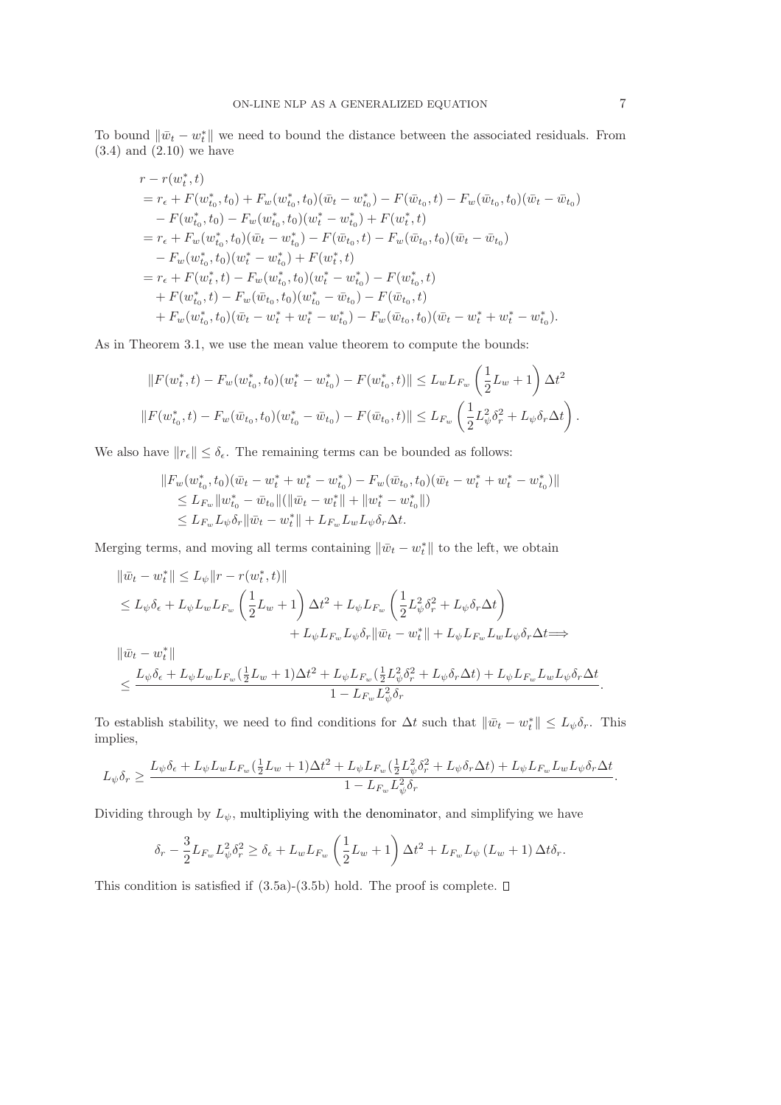To bound  $\|\bar{w}_t - w_t^*\|$  we need to bound the distance between the associated residuals. From  $(3.4)$  and  $(2.10)$  we have

$$
r - r(w_t^*, t)
$$
  
=  $r_{\epsilon} + F(w_{t_0}^*, t_0) + F_w(w_{t_0}^*, t_0)(\bar{w}_t - w_{t_0}^*) - F(\bar{w}_{t_0}, t) - F_w(\bar{w}_{t_0}, t_0)(\bar{w}_t - \bar{w}_{t_0})$   
-  $F(w_{t_0}^*, t_0) - F_w(w_{t_0}^*, t_0)(w_t^* - w_{t_0}^*) + F(w_t^*, t)$   
=  $r_{\epsilon} + F_w(w_{t_0}^*, t_0)(\bar{w}_t - w_{t_0}^*) - F(\bar{w}_{t_0}, t) - F_w(\bar{w}_{t_0}, t_0)(\bar{w}_t - \bar{w}_{t_0})$   
-  $F_w(w_{t_0}^*, t_0)(w_t^* - w_{t_0}^*) + F(w_t^*, t)$   
=  $r_{\epsilon} + F(w_t^*, t) - F_w(w_{t_0}^*, t_0)(w_t^* - w_{t_0}^*) - F(w_{t_0}^*, t)$   
+  $F(w_{t_0}^*, t) - F_w(\bar{w}_{t_0}, t_0)(w_{t_0}^* - \bar{w}_{t_0}) - F(\bar{w}_{t_0}, t)$   
+  $F_w(w_{t_0}^*, t_0)(\bar{w}_t - w_t^* + w_t^* - w_{t_0}^*) - F_w(\bar{w}_{t_0}, t_0)(\bar{w}_t - w_t^* + w_t^* - w_{t_0}^*).$ 

As in Theorem 3.1, we use the mean value theorem to compute the bounds:

$$
||F(w_t^*, t) - F_w(w_{t_0}^*, t_0)(w_t^* - w_{t_0}^*) - F(w_{t_0}^*, t)|| \le L_w L_{F_w} \left(\frac{1}{2}L_w + 1\right) \Delta t^2
$$
  

$$
||F(w_{t_0}^*, t) - F_w(\bar{w}_{t_0}, t_0)(w_{t_0}^* - \bar{w}_{t_0}) - F(\bar{w}_{t_0}, t)|| \le L_{F_w} \left(\frac{1}{2}L_{\psi}^2 \delta_r^2 + L_{\psi} \delta_r \Delta t\right).
$$

We also have  $||r_{\epsilon}|| \leq \delta_{\epsilon}$ . The remaining terms can be bounded as follows:

$$
||F_w(w_{t_0}^*, t_0)(\bar{w}_t - w_t^* + w_t^* - w_{t_0}^*) - F_w(\bar{w}_{t_0}, t_0)(\bar{w}_t - w_t^* + w_t^* - w_{t_0}^*)||
$$
  
\n
$$
\leq L_{F_w} ||w_{t_0}^* - \bar{w}_{t_0}||(\|\bar{w}_t - w_t^*\| + \|w_t^* - w_{t_0}^*)|)
$$
  
\n
$$
\leq L_{F_w}L_{\psi}\delta_r ||\bar{w}_t - w_t^*|| + L_{F_w}L_wL_{\psi}\delta_r\Delta t.
$$

Merging terms, and moving all terms containing  $\|\bar{w}_t - w_t^*\|$  to the left, we obtain

$$
\begin{split} \|\bar{w}_t - w_t^*\| &\leq L_\psi \|r - r(w_t^*, t)\| \\ &\leq L_\psi \delta_\epsilon + L_\psi L_w L_{F_w} \left(\frac{1}{2}L_w + 1\right) \Delta t^2 + L_\psi L_{F_w} \left(\frac{1}{2}L_\psi^2 \delta_r^2 + L_\psi \delta_r \Delta t\right) \\ &\quad + L_\psi L_{F_w} L_\psi \delta_r \|\bar{w}_t - w_t^*\| + L_\psi L_{F_w} L_w L_\psi \delta_r \Delta t \Longrightarrow \\ \|\bar{w}_t - w_t^*\| \\ &\leq \frac{L_\psi \delta_\epsilon + L_\psi L_w L_{F_w} (\frac{1}{2}L_w + 1) \Delta t^2 + L_\psi L_{F_w} (\frac{1}{2}L_\psi^2 \delta_r^2 + L_\psi \delta_r \Delta t) + L_\psi L_{F_w} L_w L_\psi \delta_r \Delta t}{1 - L_{F_w} L_\psi^2 \delta_r}. \end{split}
$$

To establish stability, we need to find conditions for  $\Delta t$  such that  $\|\bar{w}_t - w_t^*\| \leq L_{\psi}\delta_r$ . This implies,

$$
L_{\psi}\delta_r \geq \frac{L_{\psi}\delta_{\epsilon} + L_{\psi}L_wL_{F_w}(\frac{1}{2}L_w + 1)\Delta t^2 + L_{\psi}L_{F_w}(\frac{1}{2}L_{\psi}^2\delta_r^2 + L_{\psi}\delta_r\Delta t) + L_{\psi}L_{F_w}L_wL_{\psi}\delta_r\Delta t}{1 - L_{F_w}L_{\psi}^2\delta_r}.
$$

Dividing through by  $L_{\psi}$ , multipliying with the denominator, and simplifying we have

$$
\delta_r - \frac{3}{2} L_{F_w} L_\psi^2 \delta_r^2 \ge \delta_\epsilon + L_w L_{F_w} \left(\frac{1}{2} L_w + 1\right) \Delta t^2 + L_{F_w} L_\psi \left(L_w + 1\right) \Delta t \delta_r.
$$

This condition is satisfied if  $(3.5a)-(3.5b)$  hold. The proof is complete.  $\square$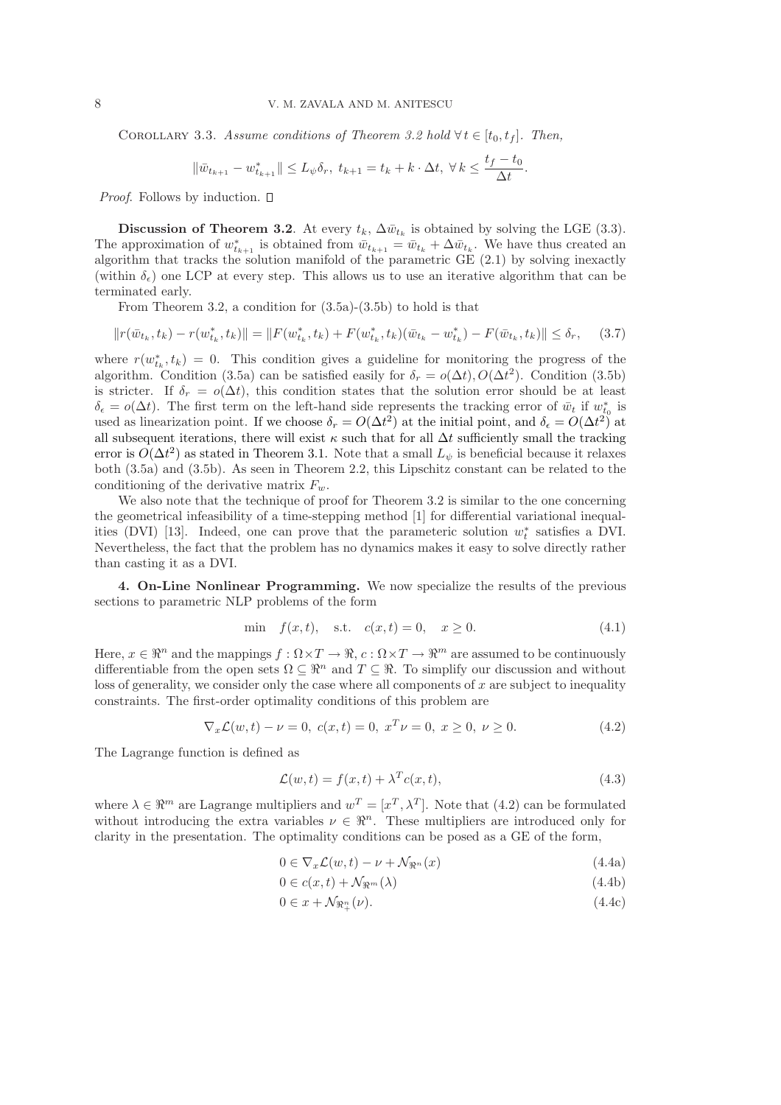COROLLARY 3.3. Assume conditions of Theorem 3.2 hold  $\forall t \in [t_0, t_f]$ . Then,

$$
\|\bar{w}_{t_{k+1}} - w_{t_{k+1}}^*\| \le L_{\psi}\delta_r, \ t_{k+1} = t_k + k \cdot \Delta t, \ \forall \, k \le \frac{t_f - t_0}{\Delta t}.
$$

*Proof.* Follows by induction. □

Discussion of Theorem 3.2. At every  $t_k$ ,  $\Delta \bar{w}_{t_k}$  is obtained by solving the LGE (3.3). The approximation of  $w_{t_{k+1}}^*$  is obtained from  $\bar{w}_{t_{k+1}} = \bar{w}_{t_k} + \Delta \bar{w}_{t_k}$ . We have thus created an algorithm that tracks the solution manifold of the parametric  $GE(2.1)$  by solving inexactly (within  $\delta_{\epsilon}$ ) one LCP at every step. This allows us to use an iterative algorithm that can be terminated early.

From Theorem 3.2, a condition for (3.5a)-(3.5b) to hold is that

$$
||r(\bar{w}_{t_k}, t_k) - r(w_{t_k}^*, t_k)|| = ||F(w_{t_k}^*, t_k) + F(w_{t_k}^*, t_k)(\bar{w}_{t_k} - w_{t_k}^*) - F(\bar{w}_{t_k}, t_k)|| \le \delta_r, \quad (3.7)
$$

where  $r(w_{t_k}^*, t_k) = 0$ . This condition gives a guideline for monitoring the progress of the algorithm. Condition (3.5a) can be satisfied easily for  $\delta_r = o(\Delta t)$ ,  $O(\Delta t^2)$ . Condition (3.5b) is stricter. If  $\delta_r = o(\Delta t)$ , this condition states that the solution error should be at least  $\delta_{\epsilon} = o(\Delta t)$ . The first term on the left-hand side represents the tracking error of  $\bar{w}_t$  if  $w_{t_0}^*$  is used as linearization point. If we choose  $\delta_r = O(\Delta t^2)$  at the initial point, and  $\delta_{\epsilon} = O(\Delta t^2)$  at all subsequent iterations, there will exist  $\kappa$  such that for all  $\Delta t$  sufficiently small the tracking error is  $O(\Delta t^2)$  as stated in Theorem 3.1. Note that a small  $L_{\psi}$  is beneficial because it relaxes both (3.5a) and (3.5b). As seen in Theorem 2.2, this Lipschitz constant can be related to the conditioning of the derivative matrix  $F_w$ .

We also note that the technique of proof for Theorem 3.2 is similar to the one concerning the geometrical infeasibility of a time-stepping method [1] for differential variational inequalities (DVI) [13]. Indeed, one can prove that the parameteric solution  $w_t^*$  satisfies a DVI. Nevertheless, the fact that the problem has no dynamics makes it easy to solve directly rather than casting it as a DVI.

4. On-Line Nonlinear Programming. We now specialize the results of the previous sections to parametric NLP problems of the form

min 
$$
f(x,t)
$$
, s.t.  $c(x,t) = 0$ ,  $x \ge 0$ . (4.1)

Here,  $x \in \mathbb{R}^n$  and the mappings  $f : \Omega \times T \to \mathbb{R}$ ,  $c : \Omega \times T \to \mathbb{R}^m$  are assumed to be continuously differentiable from the open sets  $\Omega \subseteq \mathbb{R}^n$  and  $T \subseteq \mathbb{R}$ . To simplify our discussion and without loss of generality, we consider only the case where all components of  $x$  are subject to inequality constraints. The first-order optimality conditions of this problem are

$$
\nabla_x \mathcal{L}(w, t) - \nu = 0, \ c(x, t) = 0, \ x^T \nu = 0, \ x \ge 0, \ \nu \ge 0.
$$
 (4.2)

The Lagrange function is defined as

$$
\mathcal{L}(w,t) = f(x,t) + \lambda^T c(x,t),\tag{4.3}
$$

where  $\lambda \in \mathbb{R}^m$  are Lagrange multipliers and  $w^T = [x^T, \lambda^T]$ . Note that (4.2) can be formulated without introducing the extra variables  $\nu \in \mathbb{R}^n$ . These multipliers are introduced only for clarity in the presentation. The optimality conditions can be posed as a GE of the form,

$$
0 \in \nabla_x \mathcal{L}(w, t) - \nu + \mathcal{N}_{\Re^n}(x) \tag{4.4a}
$$

$$
0 \in c(x, t) + \mathcal{N}_{\Re^m}(\lambda)
$$
\n(4.4b)

$$
0 \in x + \mathcal{N}_{\mathfrak{N}_+^n}(\nu). \tag{4.4c}
$$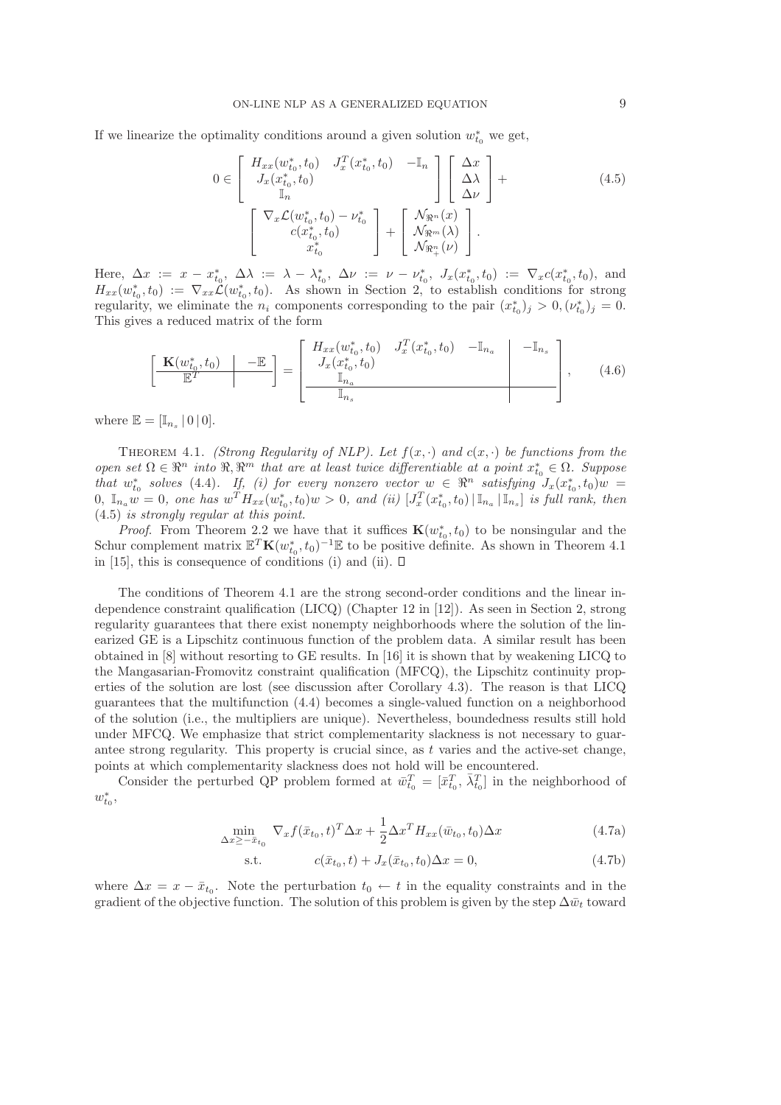If we linearize the optimality conditions around a given solution  $w_{t_0}^*$  we get,

$$
0 \in \begin{bmatrix} H_{xx}(w_{t_0}^*, t_0) & J_x^T(x_{t_0}^*, t_0) & -\mathbb{I}_n \\ J_x(x_{t_0}^*, t_0) & \mathbb{I}_n \end{bmatrix} \begin{bmatrix} \Delta x \\ \Delta \lambda \\ \Delta \nu \end{bmatrix} +
$$
  

$$
\begin{bmatrix} \nabla_x \mathcal{L}(w_{t_0}^*, t_0) - \nu_{t_0}^* \\ c(x_{t_0}^*, t_0) & \mathbb{I}_n \end{bmatrix} + \begin{bmatrix} \mathcal{N}_{\Re^n}(x) \\ \mathcal{N}_{\Re^n}(x) \\ \mathcal{N}_{\Re^n}(y) \end{bmatrix}.
$$
 (4.5)

Here,  $\Delta x := x - x_{t_0}^*$ ,  $\Delta \lambda := \lambda - \lambda_{t_0}^*$ ,  $\Delta \nu := \nu - \nu_{t_0}^*$ ,  $J_x(x_{t_0}^*, t_0) := \nabla_x c(x_{t_0}^*, t_0)$ , and  $H_{xx}(w_{t_0}^*,t_0) := \nabla_{xx}\mathcal{L}(w_{t_0}^*,t_0)$ . As shown in Section 2, to establish conditions for strong regularity, we eliminate the  $n_i$  components corresponding to the pair  $(x_{t_0}^*)_j > 0, (\nu_{t_0}^*)_j = 0$ . This gives a reduced matrix of the form

$$
\left[\begin{array}{c|c}\n\mathbf{K}(w_{t_0}^*, t_0) & -\mathbb{E} \\
\hline\n\mathbb{E}^T\n\end{array}\right] = \left[\begin{array}{cc|c}\nH_{xx}(w_{t_0}^*, t_0) & J_x^T(x_{t_0}^*, t_0) & -\mathbb{I}_{n_a} & -\mathbb{I}_{n_s} \\
J_x(x_{t_0}^*, t_0) & & \\
\hline\n\mathbb{I}_{n_a} & & \\
\hline\n\mathbb{I}_{n_s}\n\end{array}\right],\n\tag{4.6}
$$

where  $\mathbb{E} = [\mathbb{I}_{n_s} | 0 | 0].$ 

THEOREM 4.1. *(Strong Regularity of NLP). Let*  $f(x, \cdot)$  *and*  $c(x, \cdot)$  *be functions from the*  $open\ set\ \Omega \in \mathbb{R}^n$  *into*  $\mathbb{R}, \mathbb{R}^m$  *that are at least twice differentiable at a point*  $x_{t_0}^* \in \Omega$ *. Suppose* that  $w_{t_0}^*$  solves (4.4). If, (i) for every nonzero vector  $w \in \mathbb{R}^n$  satisfying  $J_x(x_{t_0}^*, t_0)w =$  $0, \ \mathbb{I}_{n_a} w = 0$ , one has  $w^T H_{xx}(w_{t_0}^*, t_0) w > 0$ , and (ii)  $[J_x^T(x_{t_0}^*, t_0) | \mathbb{I}_{n_a} | \mathbb{I}_{n_s}]$  is full rank, then (4.5) *is strongly regular at this point.*

*Proof.* From Theorem 2.2 we have that it suffices  $\mathbf{K}(w_{t_0}^*, t_0)$  to be nonsingular and the Schur complement matrix  $\mathbb{E}^T \mathbf{K}(w_{t_0}^*, t_0)^{-1} \mathbb{E}$  to be positive definite. As shown in Theorem 4.1 in [15], this is consequence of conditions (i) and (ii).  $\square$ 

The conditions of Theorem 4.1 are the strong second-order conditions and the linear independence constraint qualification (LICQ) (Chapter 12 in [12]). As seen in Section 2, strong regularity guarantees that there exist nonempty neighborhoods where the solution of the linearized GE is a Lipschitz continuous function of the problem data. A similar result has been obtained in [8] without resorting to GE results. In [16] it is shown that by weakening LICQ to the Mangasarian-Fromovitz constraint qualification (MFCQ), the Lipschitz continuity properties of the solution are lost (see discussion after Corollary 4.3). The reason is that LICQ guarantees that the multifunction (4.4) becomes a single-valued function on a neighborhood of the solution (i.e., the multipliers are unique). Nevertheless, boundedness results still hold under MFCQ. We emphasize that strict complementarity slackness is not necessary to guarantee strong regularity. This property is crucial since, as  $t$  varies and the active-set change, points at which complementarity slackness does not hold will be encountered.

Consider the perturbed QP problem formed at  $\bar{w}_{t_0}^T = [\bar{x}_{t_0}^T, \bar{\lambda}_{t_0}^T]$  in the neighborhood of  $w_{t_0}^*$ 

$$
\min_{\Delta x \ge -\bar{x}_{t_0}} \nabla_x f(\bar{x}_{t_0}, t)^T \Delta x + \frac{1}{2} \Delta x^T H_{xx}(\bar{w}_{t_0}, t_0) \Delta x \tag{4.7a}
$$

s.t. 
$$
c(\bar{x}_{t_0}, t) + J_x(\bar{x}_{t_0}, t_0) \Delta x = 0,
$$
 (4.7b)

where  $\Delta x = x - \bar{x}_{t_0}$ . Note the perturbation  $t_0 \leftarrow t$  in the equality constraints and in the gradient of the objective function. The solution of this problem is given by the step  $\Delta \bar{w}_t$  toward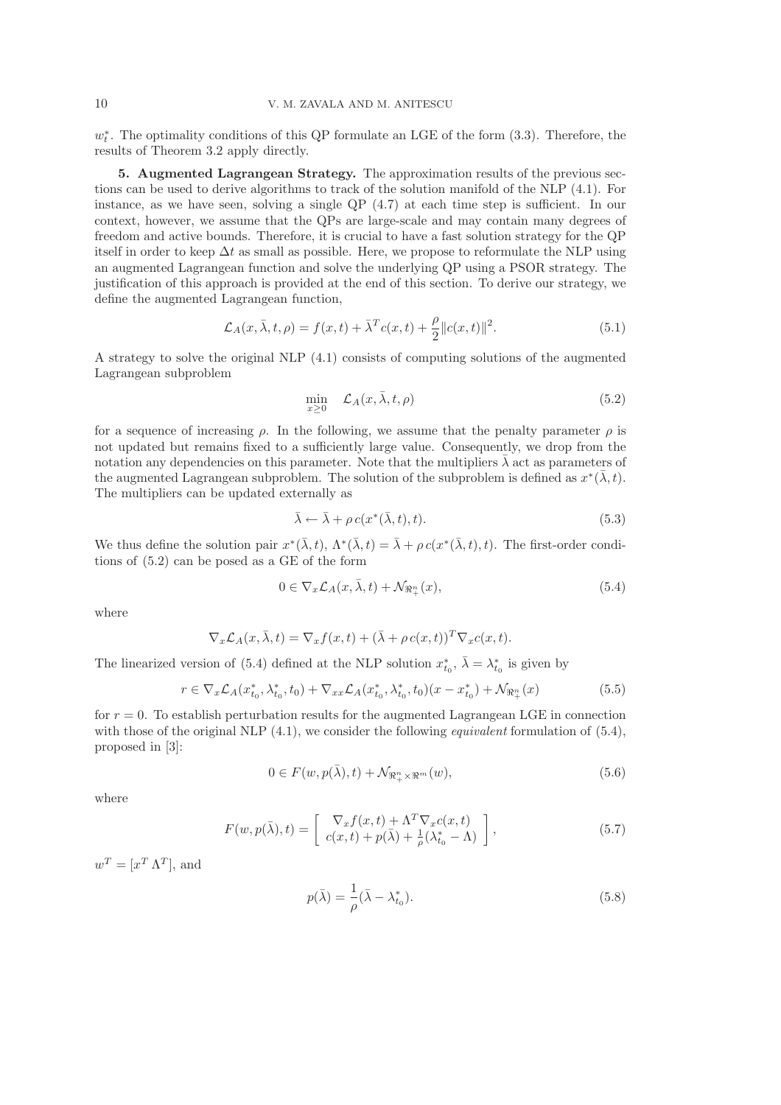$w_t^*$ . The optimality conditions of this QP formulate an LGE of the form  $(3.3)$ . Therefore, the results of Theorem 3.2 apply directly.

5. Augmented Lagrangean Strategy. The approximation results of the previous sections can be used to derive algorithms to track of the solution manifold of the NLP (4.1). For instance, as we have seen, solving a single QP (4.7) at each time step is sufficient. In our context, however, we assume that the QPs are large-scale and may contain many degrees of freedom and active bounds. Therefore, it is crucial to have a fast solution strategy for the QP itself in order to keep  $\Delta t$  as small as possible. Here, we propose to reformulate the NLP using an augmented Lagrangean function and solve the underlying QP using a PSOR strategy. The justification of this approach is provided at the end of this section. To derive our strategy, we define the augmented Lagrangean function,

$$
\mathcal{L}_A(x,\bar{\lambda},t,\rho) = f(x,t) + \bar{\lambda}^T c(x,t) + \frac{\rho}{2} ||c(x,t)||^2.
$$
\n(5.1)

A strategy to solve the original NLP (4.1) consists of computing solutions of the augmented Lagrangean subproblem

$$
\min_{x \ge 0} \quad \mathcal{L}_A(x, \bar{\lambda}, t, \rho) \tag{5.2}
$$

for a sequence of increasing  $\rho$ . In the following, we assume that the penalty parameter  $\rho$  is not updated but remains fixed to a sufficiently large value. Consequently, we drop from the notation any dependencies on this parameter. Note that the multipliers  $\lambda$  act as parameters of the augmented Lagrangean subproblem. The solution of the subproblem is defined as  $x^*(\bar{\lambda}, t)$ . The multipliers can be updated externally as

$$
\bar{\lambda} \leftarrow \bar{\lambda} + \rho c(x^*(\bar{\lambda}, t), t). \tag{5.3}
$$

We thus define the solution pair  $x^*(\bar{\lambda}, t)$ ,  $\Lambda^*(\bar{\lambda}, t) = \bar{\lambda} + \rho c(x^*(\bar{\lambda}, t), t)$ . The first-order conditions of (5.2) can be posed as a GE of the form

$$
0 \in \nabla_x \mathcal{L}_A(x, \bar{\lambda}, t) + \mathcal{N}_{\Re^n_+}(x), \tag{5.4}
$$

where

$$
\nabla_x \mathcal{L}_A(x, \bar{\lambda}, t) = \nabla_x f(x, t) + (\bar{\lambda} + \rho c(x, t))^T \nabla_x c(x, t).
$$

The linearized version of (5.4) defined at the NLP solution  $x_{t_0}^*, \bar{\lambda} = \lambda_{t_0}^*$  is given by

$$
r \in \nabla_x \mathcal{L}_A(x_{t_0}^*, \lambda_{t_0}^*, t_0) + \nabla_{xx} \mathcal{L}_A(x_{t_0}^*, \lambda_{t_0}^*, t_0)(x - x_{t_0}^*) + \mathcal{N}_{\Re^n_+}(x) \tag{5.5}
$$

for  $r = 0$ . To establish perturbation results for the augmented Lagrangean LGE in connection with those of the original NLP (4.1), we consider the following *equivalent* formulation of (5.4), proposed in [3]:

$$
0 \in F(w, p(\bar{\lambda}), t) + \mathcal{N}_{\Re_{+}^{n} \times \Re_{+}^{m}}(w),
$$
\n
$$
(5.6)
$$

where

$$
F(w, p(\bar{\lambda}), t) = \begin{bmatrix} \nabla_x f(x, t) + \Lambda^T \nabla_x c(x, t) \\ c(x, t) + p(\bar{\lambda}) + \frac{1}{\rho} (\lambda_{t_0}^* - \Lambda) \end{bmatrix},
$$
\n(5.7)

 $w^T = [x^T \Lambda^T]$ , and

$$
p(\bar{\lambda}) = \frac{1}{\rho}(\bar{\lambda} - \lambda_{t_0}^*).
$$
\n(5.8)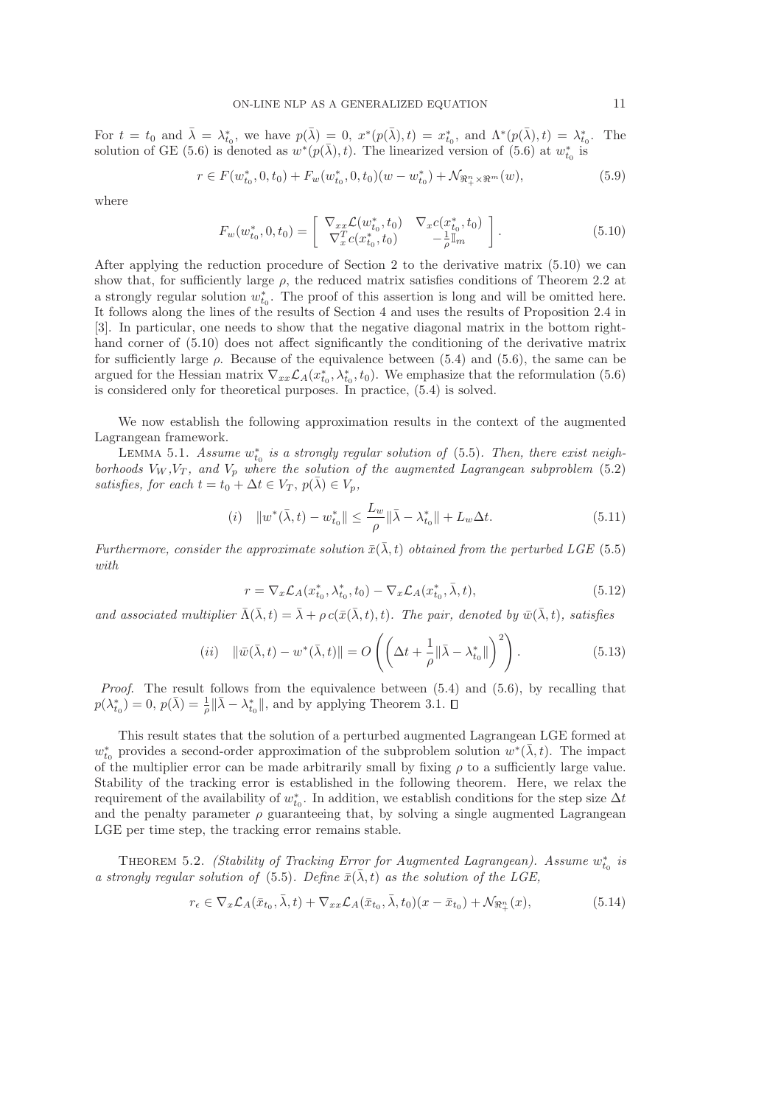For  $t = t_0$  and  $\bar{\lambda} = \lambda_{t_0}^*$ , we have  $p(\bar{\lambda}) = 0$ ,  $x^*(p(\bar{\lambda}), t) = x_{t_0}^*$ , and  $\Lambda^*(p(\bar{\lambda}), t) = \lambda_{t_0}^*$ . The solution of GE (5.6) is denoted as  $w^*(p(\bar{\lambda}), t)$ . The linearized version of (5.6) at  $w_{t_0}^*$  is

$$
r \in F(w_{t_0}^*, 0, t_0) + F_w(w_{t_0}^*, 0, t_0)(w - w_{t_0}^*) + \mathcal{N}_{\Re_{+}^n \times \Re_{-}^m}(w),
$$
\n
$$
(5.9)
$$

where

$$
F_w(w_{t_0}^*, 0, t_0) = \begin{bmatrix} \nabla_{xx} \mathcal{L}(w_{t_0}^*, t_0) & \nabla_x c(x_{t_0}^*, t_0) \\ \nabla_x^T c(x_{t_0}^*, t_0) & -\frac{1}{\rho} \mathbb{I}_m \end{bmatrix} . \tag{5.10}
$$

After applying the reduction procedure of Section 2 to the derivative matrix (5.10) we can show that, for sufficiently large  $\rho$ , the reduced matrix satisfies conditions of Theorem 2.2 at a strongly regular solution  $w_{t_0}^*$ . The proof of this assertion is long and will be omitted here. It follows along the lines of the results of Section 4 and uses the results of Proposition 2.4 in [3]. In particular, one needs to show that the negative diagonal matrix in the bottom righthand corner of  $(5.10)$  does not affect significantly the conditioning of the derivative matrix for sufficiently large  $\rho$ . Because of the equivalence between (5.4) and (5.6), the same can be argued for the Hessian matrix  $\nabla_{xx}\mathcal{L}_A(x^*_{t_0}, \lambda^*_{t_0}, t_0)$ . We emphasize that the reformulation (5.6) is considered only for theoretical purposes. In practice, (5.4) is solved.

We now establish the following approximation results in the context of the augmented Lagrangean framework.

LEMMA 5.1. Assume  $w_{t_0}^*$  is a strongly regular solution of (5.5). Then, there exist neigh*borhoods*  $V_W$ ,  $V_T$ , and  $V_p$  where the solution of the augmented Lagrangean subproblem (5.2) *satisfies, for each*  $t = t_0 + \Delta t \in V_T$ ,  $p(\lambda) \in V_p$ ,

(i) 
$$
||w^*(\bar{\lambda}, t) - w^*_{t_0}|| \le \frac{L_w}{\rho} ||\bar{\lambda} - \lambda^*_{t_0}|| + L_w \Delta t.
$$
 (5.11)

*Furthermore, consider the approximate solution*  $\bar{x}(\bar{\lambda},t)$  *obtained from the perturbed LGE* (5.5) *with*

$$
r = \nabla_x \mathcal{L}_A(x_{t_0}^*, \lambda_{t_0}^*, t_0) - \nabla_x \mathcal{L}_A(x_{t_0}^*, \bar{\lambda}, t), \tag{5.12}
$$

*and associated multiplier*  $\bar{\Lambda}(\bar{\lambda},t) = \bar{\lambda} + \rho c(\bar{x}(\bar{\lambda},t),t)$ *. The pair, denoted by*  $\bar{w}(\bar{\lambda},t)$ *, satisfies* 

$$
(ii) \quad \|\bar{w}(\bar{\lambda},t) - w^*(\bar{\lambda},t)\| = O\left(\left(\Delta t + \frac{1}{\rho} \|\bar{\lambda} - \lambda_{t_0}^*\|\right)^2\right). \tag{5.13}
$$

*Proof*. The result follows from the equivalence between (5.4) and (5.6), by recalling that  $p(\lambda_{t_0}^*) = 0, p(\bar{\lambda}) = \frac{1}{\rho} \|\bar{\lambda} - \lambda_{t_0}^*\|$ , and by applying Theorem 3.1.

This result states that the solution of a perturbed augmented Lagrangean LGE formed at  $w_{t_0}^*$  provides a second-order approximation of the subproblem solution  $w^*(\bar{\lambda}, t)$ . The impact of the multiplier error can be made arbitrarily small by fixing  $\rho$  to a sufficiently large value. Stability of the tracking error is established in the following theorem. Here, we relax the requirement of the availability of  $w_{t_0}^*$ . In addition, we establish conditions for the step size  $\Delta t$ and the penalty parameter  $\rho$  guaranteeing that, by solving a single augmented Lagrangean LGE per time step, the tracking error remains stable.

THEOREM 5.2. *(Stability of Tracking Error for Augmented Lagrangean). Assume*  $w_{t_0}^*$  is *a strongly regular solution of* (5.5). Define  $\bar{x}(\bar{\lambda}, t)$  *as the solution of the LGE,* 

$$
r_{\epsilon} \in \nabla_x \mathcal{L}_A(\bar{x}_{t_0}, \bar{\lambda}, t) + \nabla_{xx} \mathcal{L}_A(\bar{x}_{t_0}, \bar{\lambda}, t_0)(x - \bar{x}_{t_0}) + \mathcal{N}_{\mathfrak{R}_+^n}(x),\tag{5.14}
$$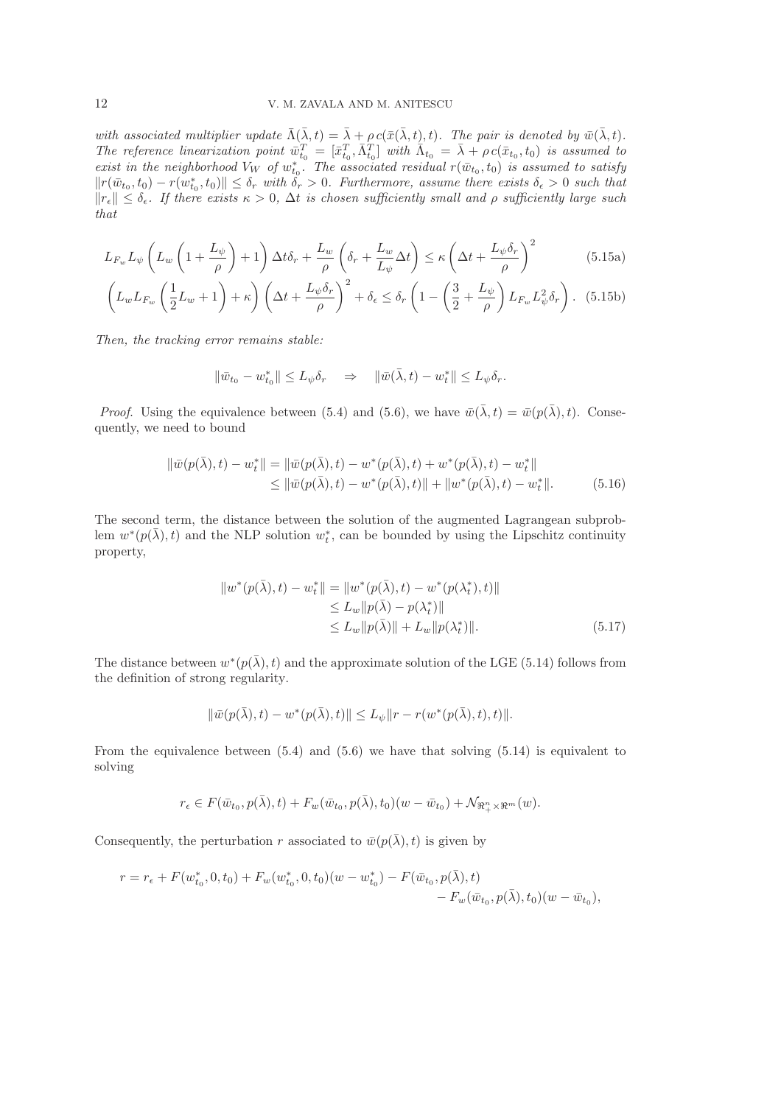*with associated multiplier update*  $\overline{\Lambda}(\overline{\lambda},t) = \overline{\lambda} + \rho c(\overline{x}(\overline{\lambda},t),t)$ *. The pair is denoted by*  $\overline{w}(\overline{\lambda},t)$ *.* The reference linearization point  $\bar{w}_{t_0}^T = [\bar{x}_{t_0}^T, \bar{\Lambda}_{t_0}^T]$  with  $\bar{\Lambda}_{t_0} = \bar{\lambda} + \rho c(\bar{x}_{t_0}, t_0)$  is assumed to *exist in the neighborhood*  $V_W$  *of*  $w_{t_0}^*$ . The associated residual  $r(\bar{w}_{t_0}, t_0)$  *is assumed to satisfy*  $||r(\bar{w}_{t_0}, t_0) - r(w_{t_0}^*, t_0)|| \leq \delta_r$  with  $\delta_r > 0$ . Furthermore, assume there exists  $\delta_{\epsilon} > 0$  such that  $||r_{\epsilon}|| \leq \delta_{\epsilon}$ . If there exists  $\kappa > 0$ ,  $\Delta t$  is chosen sufficiently small and  $\rho$  sufficiently large such *that*

$$
L_{F_w} L_{\psi} \left( L_w \left( 1 + \frac{L_{\psi}}{\rho} \right) + 1 \right) \Delta t \delta_r + \frac{L_w}{\rho} \left( \delta_r + \frac{L_w}{L_{\psi}} \Delta t \right) \le \kappa \left( \Delta t + \frac{L_{\psi} \delta_r}{\rho} \right)^2 \tag{5.15a}
$$

$$
\left( L_w L_{F_w} \left( \frac{1}{2} L_w + 1 \right) + \kappa \right) \left( \Delta t + \frac{L_{\psi} \delta_r}{\rho} \right)^2 + \delta_{\epsilon} \le \delta_r \left( 1 - \left( \frac{3}{2} + \frac{L_{\psi}}{\rho} \right) L_{F_w} L_{\psi}^2 \delta_r \right). \tag{5.15b}
$$

*Then, the tracking error remains stable:*

$$
\|\bar{w}_{t_0} - w_{t_0}^*\| \le L_\psi \delta_r \quad \Rightarrow \quad \|\bar{w}(\bar{\lambda}, t) - w_t^*\| \le L_\psi \delta_r.
$$

*Proof.* Using the equivalence between (5.4) and (5.6), we have  $\bar{w}(\bar{\lambda},t) = \bar{w}(p(\bar{\lambda}),t)$ . Consequently, we need to bound

$$
\begin{aligned} \|\bar{w}(p(\bar{\lambda}),t) - w_t^*\| &= \|\bar{w}(p(\bar{\lambda}),t) - w^*(p(\bar{\lambda}),t) + w^*(p(\bar{\lambda}),t) - w_t^*\| \\ &\le \|\bar{w}(p(\bar{\lambda}),t) - w^*(p(\bar{\lambda}),t)\| + \|w^*(p(\bar{\lambda}),t) - w_t^*\|. \end{aligned} \tag{5.16}
$$

The second term, the distance between the solution of the augmented Lagrangean subproblem  $w^*(p(\bar{\lambda}), t)$  and the NLP solution  $w_t^*$ , can be bounded by using the Lipschitz continuity property,

$$
||w^*(p(\bar{\lambda}), t) - w_t^*|| = ||w^*(p(\bar{\lambda}), t) - w^*(p(\lambda_t^*), t)||
$$
  
\n
$$
\leq L_w ||p(\bar{\lambda}) - p(\lambda_t^*)||
$$
  
\n
$$
\leq L_w ||p(\bar{\lambda})|| + L_w ||p(\lambda_t^*)||.
$$
\n(5.17)

The distance between  $w^*(p(\bar{\lambda}), t)$  and the approximate solution of the LGE (5.14) follows from the definition of strong regularity.

$$
\|\bar{w}(p(\bar{\lambda}),t)-w^*(p(\bar{\lambda}),t)\| \le L_{\psi} \|r-r(w^*(p(\bar{\lambda}),t),t)\|.
$$

From the equivalence between  $(5.4)$  and  $(5.6)$  we have that solving  $(5.14)$  is equivalent to solving

$$
r_\epsilon \in F(\bar{w}_{t_0},p(\bar{\lambda}),t) + F_w(\bar{w}_{t_0},p(\bar{\lambda}),t_0)(w-\bar{w}_{t_0}) + \mathcal{N}_{\Re_{+}^n \times \Re^m}(w).
$$

Consequently, the perturbation r associated to  $\bar{w}(p(\bar{\lambda}),t)$  is given by

$$
r = r_{\epsilon} + F(w_{t_0}^*, 0, t_0) + F_w(w_{t_0}^*, 0, t_0)(w - w_{t_0}^*) - F(\bar{w}_{t_0}, p(\bar{\lambda}), t) - F_w(\bar{w}_{t_0}, p(\bar{\lambda}), t_0)(w - \bar{w}_{t_0}),
$$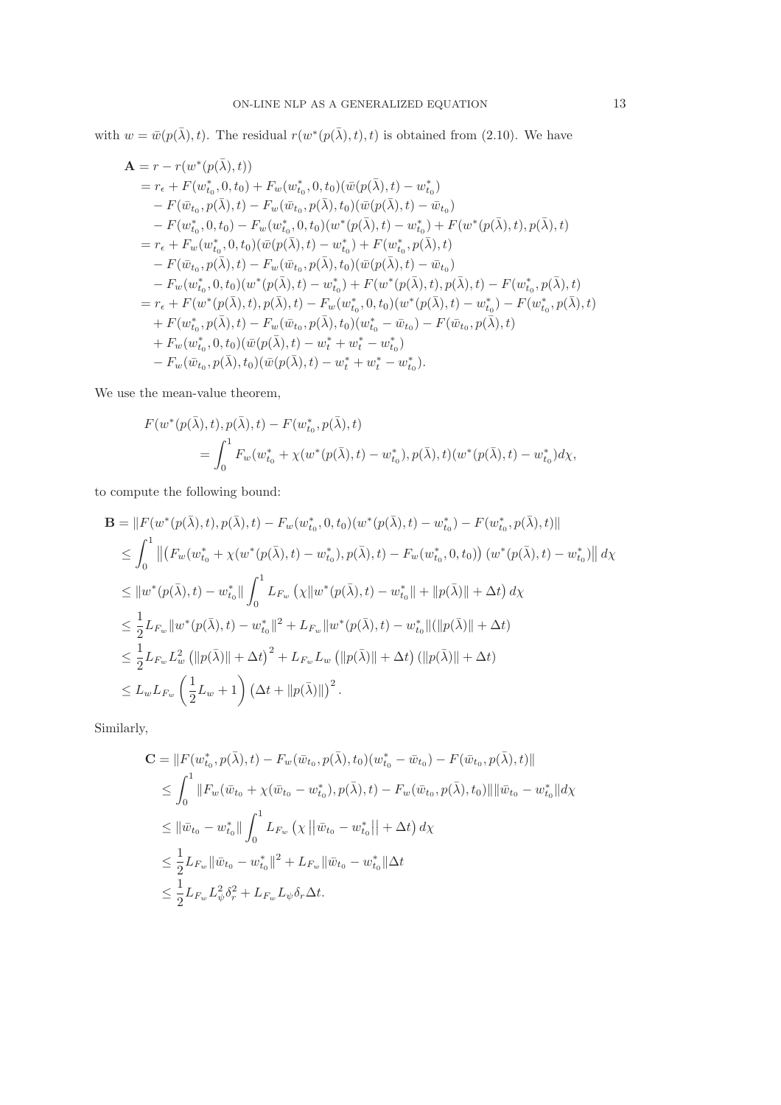with  $w = \bar{w}(p(\bar{\lambda}), t)$ . The residual  $r(w^*(p(\bar{\lambda}), t), t)$  is obtained from (2.10). We have

$$
\mathbf{A} = r - r(w^*(p(\bar{\lambda}), t)) \n= r_{\epsilon} + F(w_{t_0}^*, 0, t_0) + F_w(w_{t_0}^*, 0, t_0)(\bar{w}(p(\bar{\lambda}), t) - w_{t_0}^*) \n- F(\bar{w}_{t_0}, p(\bar{\lambda}), t) - F_w(\bar{w}_{t_0}, p(\bar{\lambda}), t_0)(\bar{w}(p(\bar{\lambda}), t) - \bar{w}_{t_0}) \n- F(w_{t_0}^*, 0, t_0) - F_w(w_{t_0}^*, 0, t_0)(w^*(p(\bar{\lambda}), t) - w_{t_0}^*) + F(w^*(p(\bar{\lambda}), t), p(\bar{\lambda}), t) \n= r_{\epsilon} + F_w(w_{t_0}^*, 0, t_0)(\bar{w}(p(\bar{\lambda}), t) - w_{t_0}^*) + F(w_{t_0}^*, p(\bar{\lambda}), t) \n- F(\bar{w}_{t_0}, p(\bar{\lambda}), t) - F_w(\bar{w}_{t_0}, p(\bar{\lambda}), t_0)(\bar{w}(p(\bar{\lambda}), t) - \bar{w}_{t_0}) \n- F_w(w_{t_0}^*, 0, t_0)(w^*(p(\bar{\lambda}), t) - w_{t_0}^*) + F(w^*(p(\bar{\lambda}), t), p(\bar{\lambda}), t) - F(w_{t_0}^*, p(\bar{\lambda}), t) \n= r_{\epsilon} + F(w^*(p(\bar{\lambda}), t), p(\bar{\lambda}), t) - F_w(w_{t_0}^*, 0, t_0)(w^*(p(\bar{\lambda}), t) - w_{t_0}^*) - F(w_{t_0}^*, p(\bar{\lambda}), t) \n+ F_w(w_{t_0}^*, p(\bar{\lambda}), t) - F_w(\bar{w}_{t_0}, p(\bar{\lambda}), t_0)(w_{t_0}^* - \bar{w}_{t_0}) - F(\bar{w}_{t_0}, p(\bar{\lambda}), t) \n+ F_w(w_{t_0}^*, 0, t_0)(\bar{w}(p(\bar{\lambda}), t) - w_{t}^* + w_{t}^* - w_{t_0}^*) \n- F_w(\bar{w}_{t_0}, p(\bar{\lambda}), t_0)(\bar{w}(p(\bar{\lambda}), t) - w_{t}^* + w_{t}^* - w_{t_0}^*).
$$

We use the mean-value theorem,

$$
F(w^*(p(\bar{\lambda}), t), p(\bar{\lambda}), t) - F(w^*_{t_0}, p(\bar{\lambda}), t)
$$
  
= 
$$
\int_0^1 F_w(w^*_{t_0} + \chi(w^*(p(\bar{\lambda}), t) - w^*_{t_0}), p(\bar{\lambda}), t)(w^*(p(\bar{\lambda}), t) - w^*_{t_0})d\chi,
$$

to compute the following bound:

$$
\mathbf{B} = ||F(w^*(p(\bar{\lambda}), t), p(\bar{\lambda}), t) - F_w(w_{t_0}^*, 0, t_0)(w^*(p(\bar{\lambda}), t) - w_{t_0}^*) - F(w_{t_0}^*, p(\bar{\lambda}), t)||
$$
\n
$$
\leq \int_0^1 ||(F_w(w_{t_0}^* + \chi(w^*(p(\bar{\lambda}), t) - w_{t_0}^*), p(\bar{\lambda}), t) - F_w(w_{t_0}^*, 0, t_0)) (w^*(p(\bar{\lambda}), t) - w_{t_0}^*)|| d\chi
$$
\n
$$
\leq ||w^*(p(\bar{\lambda}), t) - w_{t_0}^*|| \int_0^1 L_{F_w} (\chi ||w^*(p(\bar{\lambda}), t) - w_{t_0}^*|| + ||p(\bar{\lambda})|| + \Delta t) d\chi
$$
\n
$$
\leq \frac{1}{2} L_{F_w} ||w^*(p(\bar{\lambda}), t) - w_{t_0}^*||^2 + L_{F_w} ||w^*(p(\bar{\lambda}), t) - w_{t_0}^*|| (||p(\bar{\lambda})|| + \Delta t)
$$
\n
$$
\leq \frac{1}{2} L_{F_w} L_w^2 (||p(\bar{\lambda})|| + \Delta t)^2 + L_{F_w} L_w (||p(\bar{\lambda})|| + \Delta t) (||p(\bar{\lambda})|| + \Delta t)
$$
\n
$$
\leq L_w L_{F_w} \left(\frac{1}{2} L_w + 1\right) (\Delta t + ||p(\bar{\lambda})||)^2.
$$

Similarly,

$$
\mathbf{C} = ||F(w_{t_0}^*, p(\bar{\lambda}), t) - F_w(\bar{w}_{t_0}, p(\bar{\lambda}), t_0)(w_{t_0}^* - \bar{w}_{t_0}) - F(\bar{w}_{t_0}, p(\bar{\lambda}), t)||
$$
  
\n
$$
\leq \int_0^1 ||F_w(\bar{w}_{t_0} + \chi(\bar{w}_{t_0} - w_{t_0}^*), p(\bar{\lambda}), t) - F_w(\bar{w}_{t_0}, p(\bar{\lambda}), t_0)|| \|\bar{w}_{t_0} - w_{t_0}^* \| d\chi
$$
  
\n
$$
\leq ||\bar{w}_{t_0} - w_{t_0}^*|| \int_0^1 L_{F_w} (\chi ||\bar{w}_{t_0} - w_{t_0}^*|| + \Delta t) d\chi
$$
  
\n
$$
\leq \frac{1}{2} L_{F_w} ||\bar{w}_{t_0} - w_{t_0}^*||^2 + L_{F_w} ||\bar{w}_{t_0} - w_{t_0}^*|| \Delta t
$$
  
\n
$$
\leq \frac{1}{2} L_{F_w} L_{\psi}^2 \delta_r^2 + L_{F_w} L_{\psi} \delta_r \Delta t.
$$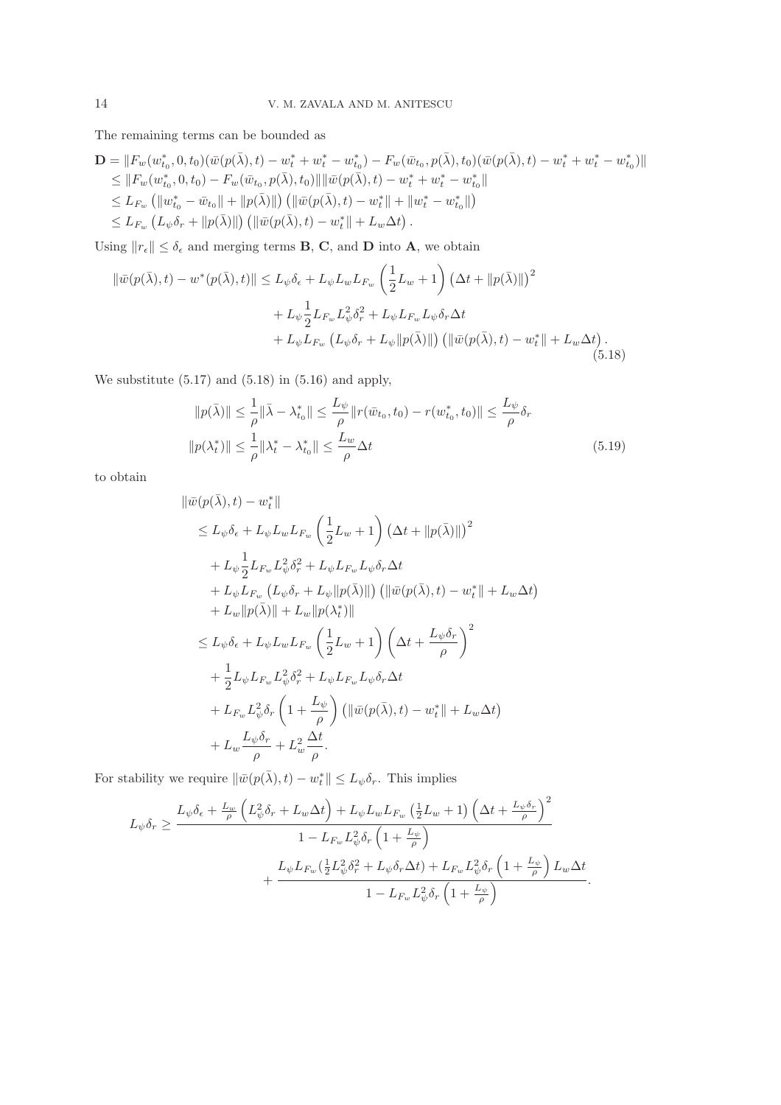The remaining terms can be bounded as

$$
\mathbf{D} = ||F_w(w_{t_0}^*, 0, t_0)(\bar{w}(p(\bar{\lambda}), t) - w_t^* + w_t^* - w_{t_0}^*) - F_w(\bar{w}_{t_0}, p(\bar{\lambda}), t_0)(\bar{w}(p(\bar{\lambda}), t) - w_t^* + w_t^* - w_{t_0}^*)||
$$
  
\n
$$
\leq ||F_w(w_{t_0}^*, 0, t_0) - F_w(\bar{w}_{t_0}, p(\bar{\lambda}), t_0)|| \, ||\bar{w}(p(\bar{\lambda}), t) - w_t^* + w_t^* - w_{t_0}^*||
$$
  
\n
$$
\leq L_{F_w} (||w_{t_0}^* - \bar{w}_{t_0}|| + ||p(\bar{\lambda})||) (||\bar{w}(p(\bar{\lambda}), t) - w_t^*|| + ||w_t^* - w_{t_0}^*||)
$$
  
\n
$$
\leq L_{F_w} (L_{\psi} \delta_r + ||p(\bar{\lambda})||) (||\bar{w}(p(\bar{\lambda}), t) - w_t^*|| + L_w \Delta t).
$$

Using  $||r_{\epsilon}|| \leq \delta_{\epsilon}$  and merging terms **B**, **C**, and **D** into **A**, we obtain

$$
\|\bar{w}(p(\bar{\lambda}),t) - w^*(p(\bar{\lambda}),t)\| \le L_{\psi}\delta_{\epsilon} + L_{\psi}L_{w}L_{F_{w}}\left(\frac{1}{2}L_{w} + 1\right)\left(\Delta t + \|p(\bar{\lambda})\|\right)^{2} + L_{\psi}\frac{1}{2}L_{F_{w}}L_{\psi}^{2}\delta_{r}^{2} + L_{\psi}L_{F_{w}}L_{\psi}\delta_{r}\Delta t + L_{\psi}L_{F_{w}}\left(L_{\psi}\delta_{r} + L_{\psi}\|p(\bar{\lambda})\|\right)\left(\|\bar{w}(p(\bar{\lambda}),t) - w_{t}^{*}\| + L_{w}\Delta t\right).
$$
\n(5.18)

We substitute (5.17) and (5.18) in (5.16) and apply,

$$
||p(\bar{\lambda})|| \leq \frac{1}{\rho} ||\bar{\lambda} - \lambda_{t_0}^*|| \leq \frac{L_{\psi}}{\rho} ||r(\bar{w}_{t_0}, t_0) - r(w_{t_0}^*, t_0)|| \leq \frac{L_{\psi}}{\rho} \delta_r
$$
  

$$
||p(\lambda_t^*)|| \leq \frac{1}{\rho} ||\lambda_t^* - \lambda_{t_0}^*|| \leq \frac{L_w}{\rho} \Delta t
$$
 (5.19)

to obtain

$$
\|\bar{w}(p(\bar{\lambda}),t) - w_t^*\|
$$
  
\n
$$
\leq L_{\psi}\delta_{\epsilon} + L_{\psi}L_{w}L_{F_{w}}\left(\frac{1}{2}L_{w} + 1\right)\left(\Delta t + \|p(\bar{\lambda})\|\right)^{2}
$$
  
\n
$$
+ L_{\psi}\frac{1}{2}L_{F_{w}}L_{\psi}^{2}\delta_{r}^{2} + L_{\psi}L_{F_{w}}L_{\psi}\delta_{r}\Delta t
$$
  
\n
$$
+ L_{\psi}L_{F_{w}}\left(L_{\psi}\delta_{r} + L_{\psi}\|p(\bar{\lambda})\|\right)\left(\|\bar{w}(p(\bar{\lambda}),t) - w_{t}^*\| + L_{w}\Delta t\right)
$$
  
\n
$$
+ L_{w}\|p(\bar{\lambda})\| + L_{w}\|p(\lambda_{t}^*)\|
$$
  
\n
$$
\leq L_{\psi}\delta_{\epsilon} + L_{\psi}L_{w}L_{F_{w}}\left(\frac{1}{2}L_{w} + 1\right)\left(\Delta t + \frac{L_{\psi}\delta_{r}}{\rho}\right)^{2}
$$
  
\n
$$
+ \frac{1}{2}L_{\psi}L_{F_{w}}L_{\psi}^{2}\delta_{r}^{2} + L_{\psi}L_{F_{w}}L_{\psi}\delta_{r}\Delta t
$$
  
\n
$$
+ L_{F_{w}}L_{\psi}^{2}\delta_{r}\left(1 + \frac{L_{\psi}}{\rho}\right)\left(\|\bar{w}(p(\bar{\lambda}),t) - w_{t}^*\| + L_{w}\Delta t\right)
$$
  
\n
$$
+ L_{w}\frac{L_{\psi}\delta_{r}}{\rho} + L_{w}^{2}\frac{\Delta t}{\rho}.
$$

For stability we require  $\|\bar{w}(p(\bar{\lambda}),t) - w_t^*\| \leq L_{\psi}\delta_r$ . This implies

$$
L_{\psi}\delta_r \geq \frac{L_{\psi}\delta_{\epsilon} + \frac{L_w}{\rho} \left( L_{\psi}^2 \delta_r + L_w \Delta t \right) + L_{\psi} L_w L_{F_w} \left( \frac{1}{2} L_w + 1 \right) \left( \Delta t + \frac{L_{\psi} \delta_r}{\rho} \right)^2}{1 - L_{F_w} L_{\psi}^2 \delta_r \left( 1 + \frac{L_{\psi}}{\rho} \right)} + \frac{L_{\psi} L_{F_w} \left( \frac{1}{2} L_{\psi}^2 \delta_r^2 + L_{\psi} \delta_r \Delta t \right) + L_{F_w} L_{\psi}^2 \delta_r \left( 1 + \frac{L_{\psi}}{\rho} \right) L_w \Delta t}{1 - L_{F_w} L_{\psi}^2 \delta_r \left( 1 + \frac{L_{\psi}}{\rho} \right)}.
$$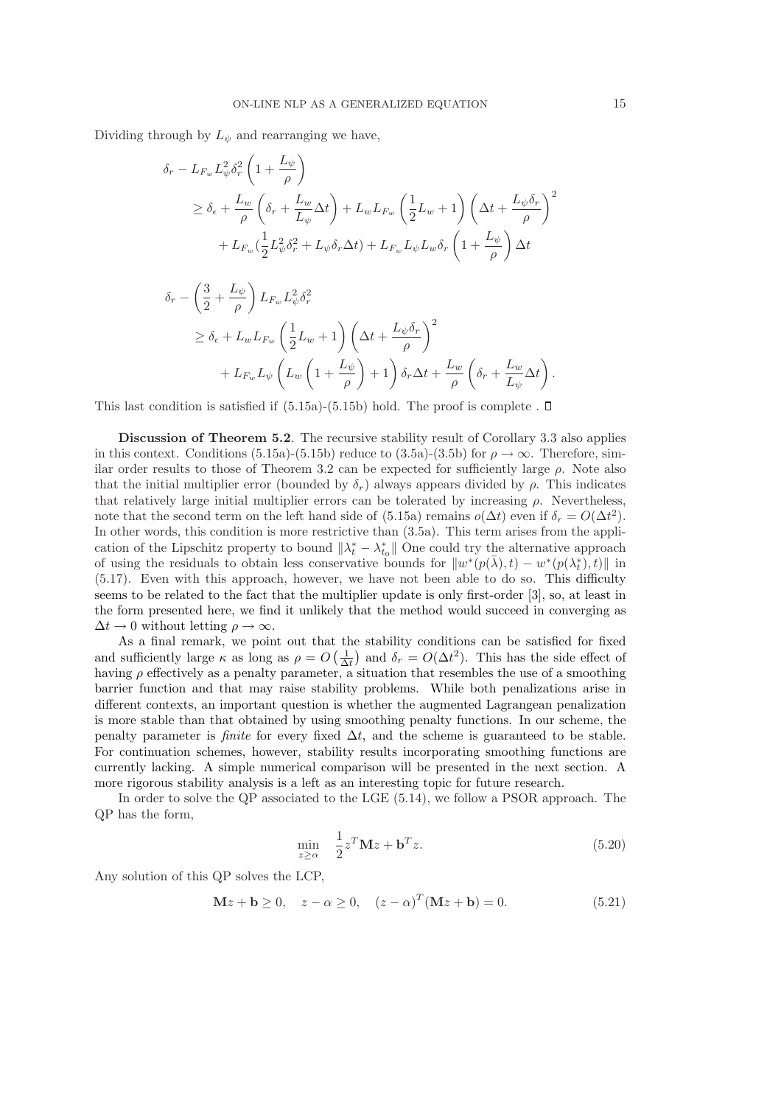Dividing through by  $L_{\psi}$  and rearranging we have,

$$
\delta_r - L_{F_w} L_{\psi}^2 \delta_r^2 \left( 1 + \frac{L_{\psi}}{\rho} \right)
$$
\n
$$
\geq \delta_{\epsilon} + \frac{L_w}{\rho} \left( \delta_r + \frac{L_w}{L_{\psi}} \Delta t \right) + L_w L_{F_w} \left( \frac{1}{2} L_w + 1 \right) \left( \Delta t + \frac{L_{\psi} \delta_r}{\rho} \right)^2
$$
\n
$$
+ L_{F_w} \left( \frac{1}{2} L_{\psi}^2 \delta_r^2 + L_{\psi} \delta_r \Delta t \right) + L_{F_w} L_{\psi} L_w \delta_r \left( 1 + \frac{L_{\psi}}{\rho} \right) \Delta t
$$

$$
\delta_r - \left(\frac{3}{2} + \frac{L_{\psi}}{\rho}\right) L_{F_w} L_{\psi}^2 \delta_r^2
$$
\n
$$
\geq \delta_{\epsilon} + L_w L_{F_w} \left(\frac{1}{2} L_w + 1\right) \left(\Delta t + \frac{L_{\psi} \delta_r}{\rho}\right)^2
$$
\n
$$
+ L_{F_w} L_{\psi} \left(L_w \left(1 + \frac{L_{\psi}}{\rho}\right) + 1\right) \delta_r \Delta t + \frac{L_w}{\rho} \left(\delta_r + \frac{L_w}{L_{\psi}} \Delta t\right).
$$

This last condition is satisfied if  $(5.15a)-(5.15b)$  hold. The proof is complete .  $\Box$ 

Discussion of Theorem 5.2. The recursive stability result of Corollary 3.3 also applies in this context. Conditions (5.15a)-(5.15b) reduce to (3.5a)-(3.5b) for  $\rho \to \infty$ . Therefore, similar order results to those of Theorem 3.2 can be expected for sufficiently large  $\rho$ . Note also that the initial multiplier error (bounded by  $\delta_r$ ) always appears divided by  $\rho$ . This indicates that relatively large initial multiplier errors can be tolerated by increasing  $\rho$ . Nevertheless, note that the second term on the left hand side of (5.15a) remains  $o(\Delta t)$  even if  $\delta_r = O(\Delta t^2)$ . In other words, this condition is more restrictive than (3.5a). This term arises from the application of the Lipschitz property to bound  $\|\lambda_t^* - \lambda_{t_0}^*\|$  One could try the alternative approach of using the residuals to obtain less conservative bounds for  $\|w^*(p(\bar{\lambda}), t) - w^*(p(\lambda_t^*, t))\|$  in (5.17). Even with this approach, however, we have not been able to do so. This difficulty seems to be related to the fact that the multiplier update is only first-order [3], so, at least in the form presented here, we find it unlikely that the method would succeed in converging as  $\Delta t \rightarrow 0$  without letting  $\rho \rightarrow \infty$ .

As a final remark, we point out that the stability conditions can be satisfied for fixed and sufficiently large  $\kappa$  as long as  $\rho = O\left(\frac{1}{\Delta t}\right)$  and  $\delta_r = O(\Delta t^2)$ . This has the side effect of having  $\rho$  effectively as a penalty parameter, a situation that resembles the use of a smoothing barrier function and that may raise stability problems. While both penalizations arise in different contexts, an important question is whether the augmented Lagrangean penalization is more stable than that obtained by using smoothing penalty functions. In our scheme, the penalty parameter is *finite* for every fixed  $\Delta t$ , and the scheme is guaranteed to be stable. For continuation schemes, however, stability results incorporating smoothing functions are currently lacking. A simple numerical comparison will be presented in the next section. A more rigorous stability analysis is a left as an interesting topic for future research.

In order to solve the QP associated to the LGE (5.14), we follow a PSOR approach. The QP has the form,

$$
\min_{z \ge \alpha} \quad \frac{1}{2} z^T \mathbf{M} z + \mathbf{b}^T z. \tag{5.20}
$$

Any solution of this QP solves the LCP,

$$
\mathbf{M}z + \mathbf{b} \ge 0, \quad z - \alpha \ge 0, \quad (z - \alpha)^{T} (\mathbf{M}z + \mathbf{b}) = 0.
$$
 (5.21)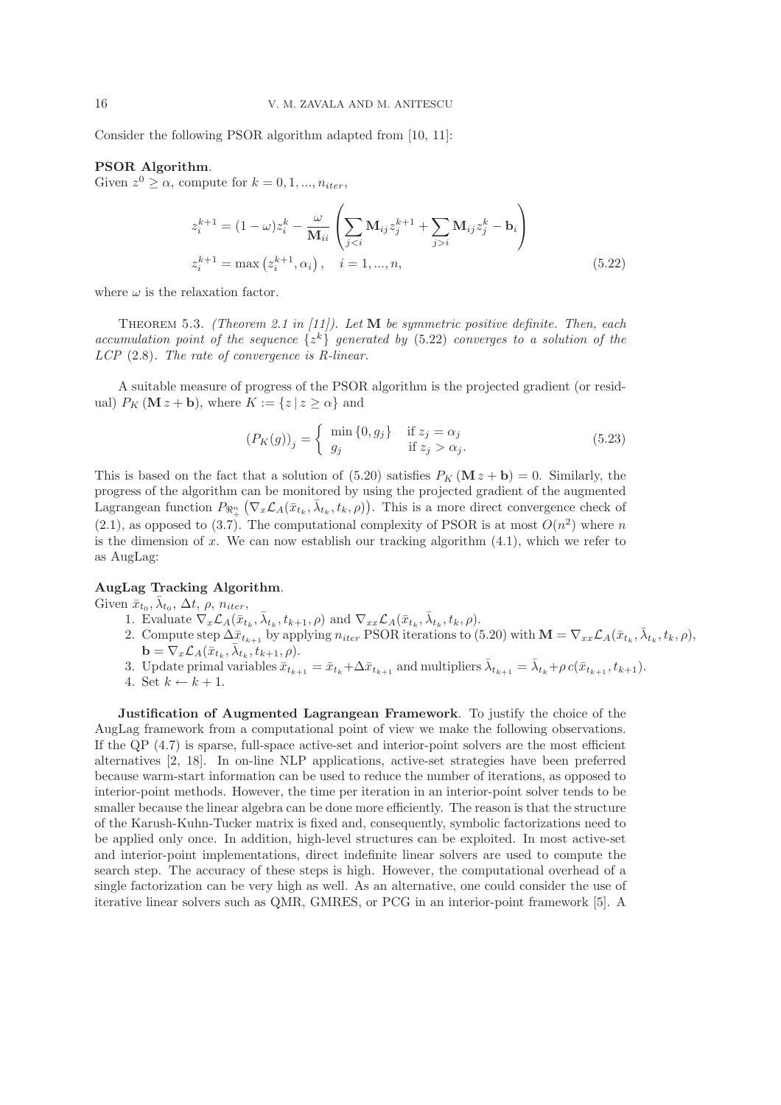Consider the following PSOR algorithm adapted from [10, 11]:

# PSOR Algorithm.

Given  $z^0 \ge \alpha$ , compute for  $k = 0, 1, ..., n_{iter}$ ,

$$
z_i^{k+1} = (1 - \omega) z_i^k - \frac{\omega}{\mathbf{M}_{ii}} \left( \sum_{j < i} \mathbf{M}_{ij} z_j^{k+1} + \sum_{j > i} \mathbf{M}_{ij} z_j^k - \mathbf{b}_i \right)
$$
\n
$$
z_i^{k+1} = \max \left( z_i^{k+1}, \alpha_i \right), \quad i = 1, \dots, n,\tag{5.22}
$$

where  $\omega$  is the relaxation factor.

Theorem 5.3. *(Theorem 2.1 in [11]). Let* M *be symmetric positive definite. Then, each accumulation point of the sequence*  $\{z^k\}$  *generated by* (5.22) *converges to a solution of the LCP* (2.8)*. The rate of convergence is R-linear.*

A suitable measure of progress of the PSOR algorithm is the projected gradient (or residual)  $P_K (\mathbf{M} z + \mathbf{b})$ , where  $K := \{z \mid z \geq \alpha\}$  and

$$
(P_K(g))_j = \begin{cases} \min\{0, g_j\} & \text{if } z_j = \alpha_j \\ g_j & \text{if } z_j > \alpha_j. \end{cases} \tag{5.23}
$$

This is based on the fact that a solution of (5.20) satisfies  $P_K(\mathbf{M} z + \mathbf{b}) = 0$ . Similarly, the progress of the algorithm can be monitored by using the projected gradient of the augmented Lagrangean function  $P_{\mathbb{R}^n_+}(\nabla_x \mathcal{L}_A(\bar{x}_{t_k}, \bar{\lambda}_{t_k}, t_k, \rho)).$  This is a more direct convergence check of  $(2.1)$ , as opposed to  $(3.7)$ . The computational complexity of PSOR is at most  $O(n^2)$  where n is the dimension of x. We can now establish our tracking algorithm  $(4.1)$ , which we refer to as AugLag:

## AugLag Tracking Algorithm.

Given  $\bar{x}_{t_0}, \bar{\lambda}_{t_0}, \Delta t, \rho, n_{iter},$ 

- 1. Evaluate  $\nabla_x \mathcal{L}_A(\bar{x}_{t_k}, \bar{\lambda}_{t_k}, t_{k+1}, \rho)$  and  $\nabla_{xx} \mathcal{L}_A(\bar{x}_{t_k}, \bar{\lambda}_{t_k}, t_k, \rho)$ .
- 2. Compute step  $\Delta \bar{x}_{t_{k+1}}$  by applying  $n_{iter}$  PSOR iterations to (5.20) with  $\mathbf{M} = \nabla_{xx} \mathcal{L}_A(\bar{x}_{t_k}, \bar{\lambda}_{t_k}, t_k, \rho),$  $\mathbf{b} = \nabla_x \mathcal{L}_A(\bar{x}_{t_k}, \bar{\lambda}_{t_k}, t_{k+1}, \rho).$
- 3. Update primal variables  $\bar{x}_{t_{k+1}} = \bar{x}_{t_k} + \Delta \bar{x}_{t_{k+1}}$  and multipliers  $\bar{\lambda}_{t_{k+1}} = \bar{\lambda}_{t_k} + \rho c(\bar{x}_{t_{k+1}}, t_{k+1}).$
- 4. Set  $k \leftarrow k + 1$ .

Justification of Augmented Lagrangean Framework. To justify the choice of the AugLag framework from a computational point of view we make the following observations. If the QP  $(4.7)$  is sparse, full-space active-set and interior-point solvers are the most efficient alternatives [2, 18]. In on-line NLP applications, active-set strategies have been preferred because warm-start information can be used to reduce the number of iterations, as opposed to interior-point methods. However, the time per iteration in an interior-point solver tends to be smaller because the linear algebra can be done more efficiently. The reason is that the structure of the Karush-Kuhn-Tucker matrix is fixed and, consequently, symbolic factorizations need to be applied only once. In addition, high-level structures can be exploited. In most active-set and interior-point implementations, direct indefinite linear solvers are used to compute the search step. The accuracy of these steps is high. However, the computational overhead of a single factorization can be very high as well. As an alternative, one could consider the use of iterative linear solvers such as QMR, GMRES, or PCG in an interior-point framework [5]. A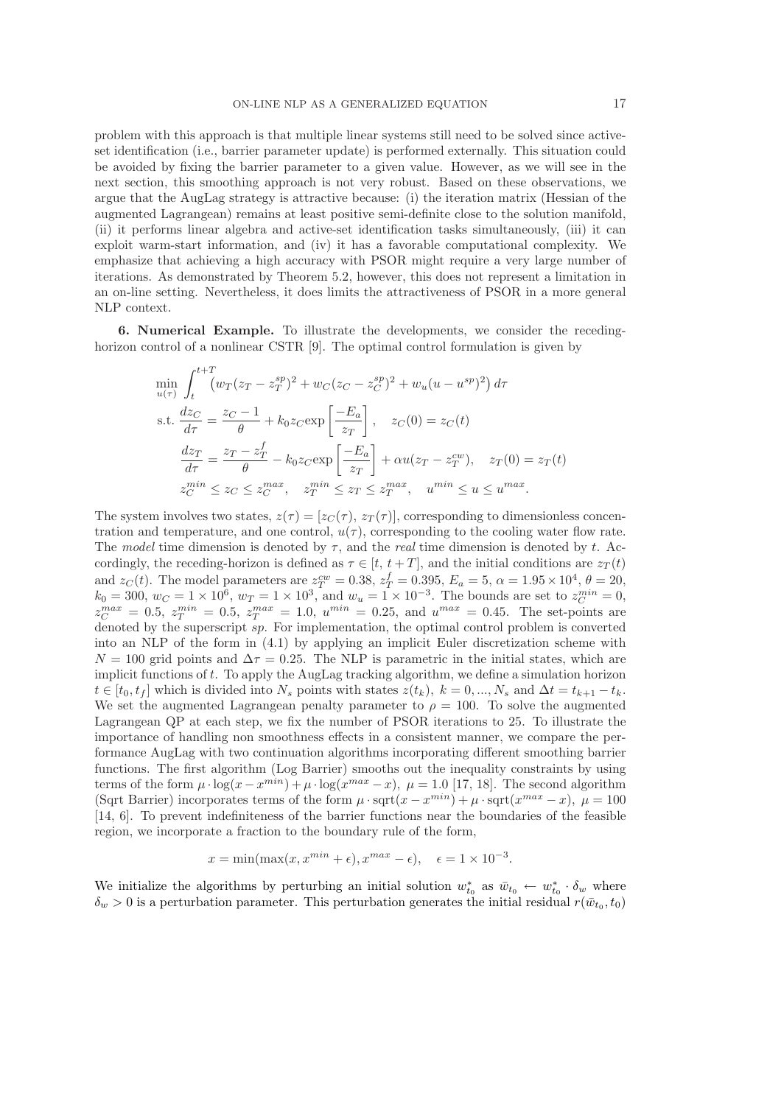problem with this approach is that multiple linear systems still need to be solved since activeset identification (i.e., barrier parameter update) is performed externally. This situation could be avoided by fixing the barrier parameter to a given value. However, as we will see in the next section, this smoothing approach is not very robust. Based on these observations, we argue that the AugLag strategy is attractive because: (i) the iteration matrix (Hessian of the augmented Lagrangean) remains at least positive semi-definite close to the solution manifold, (ii) it performs linear algebra and active-set identification tasks simultaneously, (iii) it can exploit warm-start information, and (iv) it has a favorable computational complexity. We emphasize that achieving a high accuracy with PSOR might require a very large number of iterations. As demonstrated by Theorem 5.2, however, this does not represent a limitation in an on-line setting. Nevertheless, it does limits the attractiveness of PSOR in a more general NLP context.

6. Numerical Example. To illustrate the developments, we consider the recedinghorizon control of a nonlinear CSTR [9]. The optimal control formulation is given by

$$
\min_{u(\tau)} \int_{t}^{t+T} \left( w_T (z_T - z_T^{sp})^2 + w_C (z_C - z_C^{sp})^2 + w_u (u - u^{sp})^2 \right) d\tau
$$
\n
$$
\text{s.t. } \frac{dz_C}{d\tau} = \frac{z_C - 1}{\theta} + k_0 z_C \exp\left[\frac{-E_a}{z_T}\right], \quad z_C(0) = z_C(t)
$$
\n
$$
\frac{dz_T}{d\tau} = \frac{z_T - z_T^f}{\theta} - k_0 z_C \exp\left[\frac{-E_a}{z_T}\right] + \alpha u (z_T - z_T^{cw}), \quad z_T(0) = z_T(t)
$$
\n
$$
z_C^{min} \le z_C \le z_C^{max}, \quad z_T^{min} \le z_T \le z_T^{max}, \quad u^{min} \le u \le u^{max}.
$$

The system involves two states,  $z(\tau) = [z_C(\tau), z_T(\tau)],$  corresponding to dimensionless concentration and temperature, and one control,  $u(\tau)$ , corresponding to the cooling water flow rate. The *model* time dimension is denoted by  $\tau$ , and the *real* time dimension is denoted by t. Accordingly, the receding-horizon is defined as  $\tau \in [t, t + T]$ , and the initial conditions are  $z_T(t)$ and  $z_C(t)$ . The model parameters are  $z_T^{cw} = 0.38$ ,  $z_T^f = 0.395$ ,  $E_a = 5$ ,  $\alpha = 1.95 \times 10^4$ ,  $\theta = 20$ ,  $k_0 = 300, w_C = 1 \times 10^6, w_T = 1 \times 10^3$ , and  $w_u = 1 \times 10^{-3}$ . The bounds are set to  $z_C^{min} = 0$ ,  $z_C^{max} = 0.5, z_T^{min} = 0.5, z_T^{max} = 1.0, u^{min} = 0.25, \text{ and } u^{max} = 0.45.$  The set-points are denoted by the superscript sp. For implementation, the optimal control problem is converted into an NLP of the form in (4.1) by applying an implicit Euler discretization scheme with  $N = 100$  grid points and  $\Delta \tau = 0.25$ . The NLP is parametric in the initial states, which are implicit functions of t. To apply the AugLag tracking algorithm, we define a simulation horizon  $t \in [t_0, t_f]$  which is divided into  $N_s$  points with states  $z(t_k)$ ,  $k = 0, ..., N_s$  and  $\Delta t = t_{k+1} - t_k$ . We set the augmented Lagrangean penalty parameter to  $\rho = 100$ . To solve the augmented Lagrangean QP at each step, we fix the number of PSOR iterations to 25. To illustrate the importance of handling non smoothness effects in a consistent manner, we compare the performance AugLag with two continuation algorithms incorporating different smoothing barrier functions. The first algorithm (Log Barrier) smooths out the inequality constraints by using terms of the form  $\mu \cdot \log(x - x^{min}) + \mu \cdot \log(x^{max} - x)$ ,  $\mu = 1.0$  [17, 18]. The second algorithm (Sqrt Barrier) incorporates terms of the form  $\mu \cdot \text{sqrt}(x - x^{min}) + \mu \cdot \text{sqrt}(x^{max} - x)$ ,  $\mu = 100$ [14, 6]. To prevent indefiniteness of the barrier functions near the boundaries of the feasible region, we incorporate a fraction to the boundary rule of the form,

$$
x = \min(\max(x, x^{min} + \epsilon), x^{max} - \epsilon), \quad \epsilon = 1 \times 10^{-3}.
$$

We initialize the algorithms by perturbing an initial solution  $w_{t_0}^*$  as  $\bar{w}_{t_0} \leftarrow w_{t_0}^* \cdot \delta_w$  where  $\delta_w > 0$  is a perturbation parameter. This perturbation generates the initial residual  $r(\bar{w}_{t_0}, t_0)$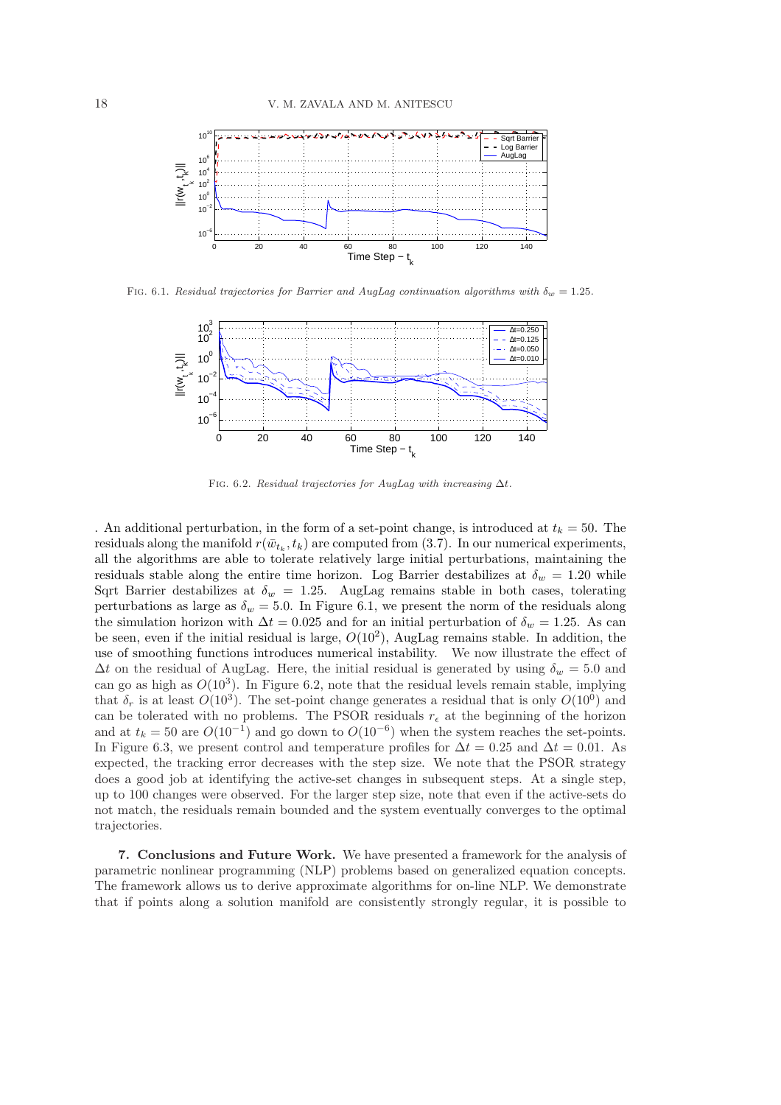

FIG. 6.1. Residual trajectories for Barrier and AugLag continuation algorithms with  $\delta_w = 1.25$ .



FIG. 6.2. Residual trajectories for AugLag with increasing  $\Delta t$ .

. An additional perturbation, in the form of a set-point change, is introduced at  $t_k = 50$ . The residuals along the manifold  $r(\bar{w}_{t_k}, t_k)$  are computed from (3.7). In our numerical experiments, all the algorithms are able to tolerate relatively large initial perturbations, maintaining the residuals stable along the entire time horizon. Log Barrier destabilizes at  $\delta_w = 1.20$  while Sqrt Barrier destabilizes at  $\delta_w = 1.25$ . AugLag remains stable in both cases, tolerating perturbations as large as  $\delta_w = 5.0$ . In Figure 6.1, we present the norm of the residuals along the simulation horizon with  $\Delta t = 0.025$  and for an initial perturbation of  $\delta_w = 1.25$ . As can be seen, even if the initial residual is large,  $O(10^2)$ , AugLag remains stable. In addition, the use of smoothing functions introduces numerical instability. We now illustrate the effect of  $\Delta t$  on the residual of AugLag. Here, the initial residual is generated by using  $\delta_w = 5.0$  and can go as high as  $O(10^3)$ . In Figure 6.2, note that the residual levels remain stable, implying that  $\delta_r$  is at least  $O(10^3)$ . The set-point change generates a residual that is only  $O(10^0)$  and can be tolerated with no problems. The PSOR residuals  $r_{\epsilon}$  at the beginning of the horizon and at  $t_k = 50$  are  $O(10^{-1})$  and go down to  $O(10^{-6})$  when the system reaches the set-points. In Figure 6.3, we present control and temperature profiles for  $\Delta t = 0.25$  and  $\Delta t = 0.01$ . As expected, the tracking error decreases with the step size. We note that the PSOR strategy does a good job at identifying the active-set changes in subsequent steps. At a single step, up to 100 changes were observed. For the larger step size, note that even if the active-sets do not match, the residuals remain bounded and the system eventually converges to the optimal trajectories.

7. Conclusions and Future Work. We have presented a framework for the analysis of parametric nonlinear programming (NLP) problems based on generalized equation concepts. The framework allows us to derive approximate algorithms for on-line NLP. We demonstrate that if points along a solution manifold are consistently strongly regular, it is possible to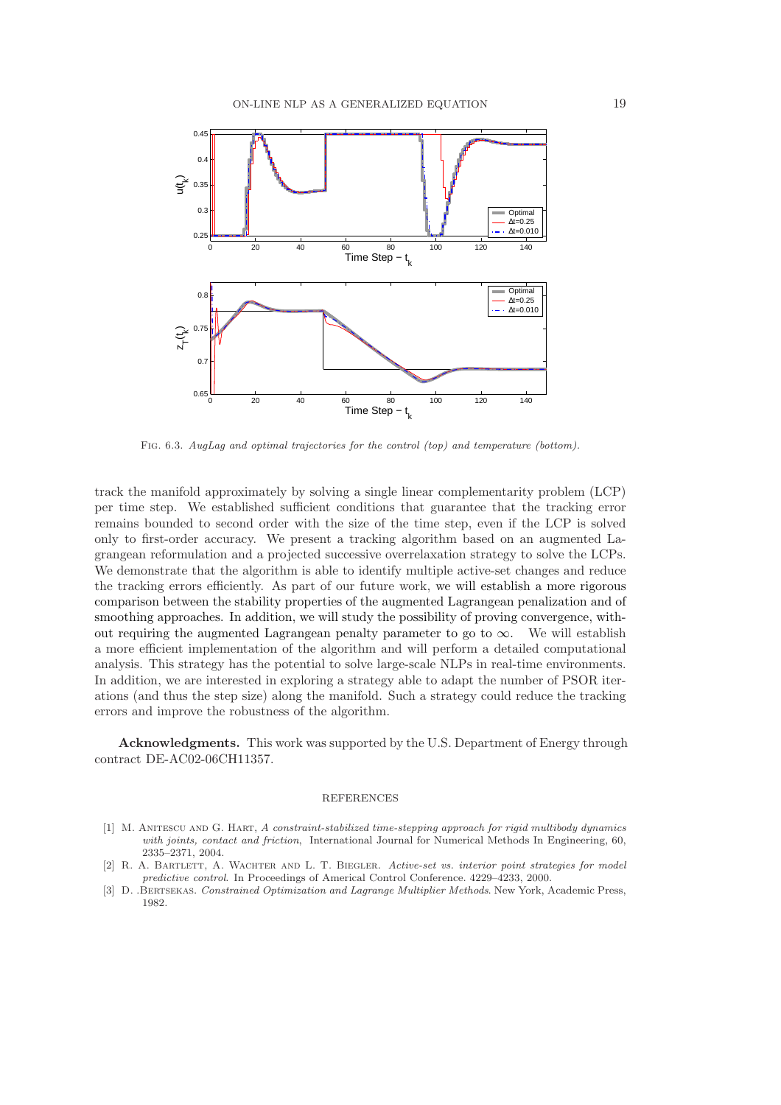

Fig. 6.3. AugLag and optimal trajectories for the control (top) and temperature (bottom).

track the manifold approximately by solving a single linear complementarity problem (LCP) per time step. We established sufficient conditions that guarantee that the tracking error remains bounded to second order with the size of the time step, even if the LCP is solved only to first-order accuracy. We present a tracking algorithm based on an augmented Lagrangean reformulation and a projected successive overrelaxation strategy to solve the LCPs. We demonstrate that the algorithm is able to identify multiple active-set changes and reduce the tracking errors efficiently. As part of our future work, we will establish a more rigorous comparison between the stability properties of the augmented Lagrangean penalization and of smoothing approaches. In addition, we will study the possibility of proving convergence, without requiring the augmented Lagrangean penalty parameter to go to  $\infty$ . We will establish a more efficient implementation of the algorithm and will perform a detailed computational analysis. This strategy has the potential to solve large-scale NLPs in real-time environments. In addition, we are interested in exploring a strategy able to adapt the number of PSOR iterations (and thus the step size) along the manifold. Such a strategy could reduce the tracking errors and improve the robustness of the algorithm.

Acknowledgments. This work was supported by the U.S. Department of Energy through contract DE-AC02-06CH11357.

#### **REFERENCES**

- [1] M. ANITESCU AND G. HART, A constraint-stabilized time-stepping approach for rigid multibody dynamics with joints, contact and friction, International Journal for Numerical Methods In Engineering, 60, 2335–2371, 2004.
- [2] R. A. BARTLETT, A. WACHTER AND L. T. BIEGLER. Active-set vs. interior point strategies for model predictive control. In Proceedings of Americal Control Conference. 4229–4233, 2000.
- [3] D. .Bertsekas. Constrained Optimization and Lagrange Multiplier Methods. New York, Academic Press, 1982.